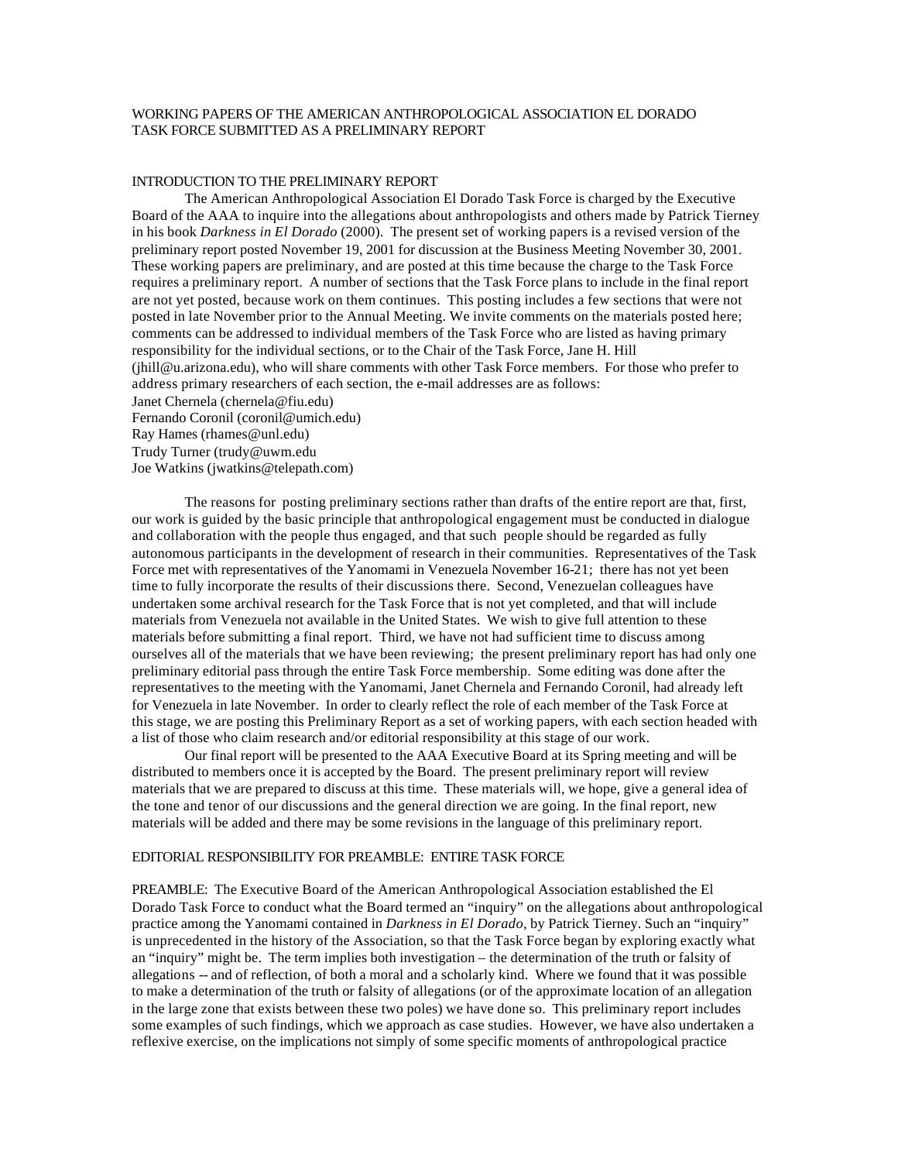# WORKING PAPERS OF THE AMERICAN ANTHROPOLOGICAL ASSOCIATION EL DORADO TASK FORCE SUBMITTED AS A PRELIMINARY REPORT

#### INTRODUCTION TO THE PRELIMINARY REPORT

The American Anthropological Association El Dorado Task Force is charged by the Executive Board of the AAA to inquire into the allegations about anthropologists and others made by Patrick Tierney in his book *Darkness in El Dorado* (2000). The present set of working papers is a revised version of the preliminary report posted November 19, 2001 for discussion at the Business Meeting November 30, 2001. These working papers are preliminary, and are posted at this time because the charge to the Task Force requires a preliminary report. A number of sections that the Task Force plans to include in the final report are not yet posted, because work on them continues. This posting includes a few sections that were not posted in late November prior to the Annual Meeting. We invite comments on the materials posted here; comments can be addressed to individual members of the Task Force who are listed as having primary responsibility for the individual sections, or to the Chair of the Task Force, Jane H. Hill (jhill@u.arizona.edu), who will share comments with other Task Force members. For those who prefer to address primary researchers of each section, the e-mail addresses are as follows: Janet Chernela (chernela@fiu.edu) Fernando Coronil (coronil@umich.edu) Ray Hames (rhames@unl.edu) Trudy Turner (trudy@uwm.edu

Joe Watkins (jwatkins@telepath.com)

The reasons for posting preliminary sections rather than drafts of the entire report are that, first, our work is guided by the basic principle that anthropological engagement must be conducted in dialogue and collaboration with the people thus engaged, and that such people should be regarded as fully autonomous participants in the development of research in their communities. Representatives of the Task Force met with representatives of the Yanomami in Venezuela November 16-21; there has not yet been time to fully incorporate the results of their discussions there. Second, Venezuelan colleagues have undertaken some archival research for the Task Force that is not yet completed, and that will include materials from Venezuela not available in the United States. We wish to give full attention to these materials before submitting a final report. Third, we have not had sufficient time to discuss among ourselves all of the materials that we have been reviewing; the present preliminary report has had only one preliminary editorial pass through the entire Task Force membership. Some editing was done after the representatives to the meeting with the Yanomami, Janet Chernela and Fernando Coronil, had already left for Venezuela in late November. In order to clearly reflect the role of each member of the Task Force at this stage, we are posting this Preliminary Report as a set of working papers, with each section headed with a list of those who claim research and/or editorial responsibility at this stage of our work.

Our final report will be presented to the AAA Executive Board at its Spring meeting and will be distributed to members once it is accepted by the Board. The present preliminary report will review materials that we are prepared to discuss at this time. These materials will, we hope, give a general idea of the tone and tenor of our discussions and the general direction we are going. In the final report, new materials will be added and there may be some revisions in the language of this preliminary report.

### EDITORIAL RESPONSIBILITY FOR PREAMBLE: ENTIRE TASK FORCE

PREAMBLE: The Executive Board of the American Anthropological Association established the El Dorado Task Force to conduct what the Board termed an "inquiry" on the allegations about anthropological practice among the Yanomami contained in *Darkness in El Dorado*, by Patrick Tierney. Such an "inquiry" is unprecedented in the history of the Association, so that the Task Force began by exploring exactly what an "inquiry" might be. The term implies both investigation – the determination of the truth or falsity of allegations -- and of reflection, of both a moral and a scholarly kind. Where we found that it was possible to make a determination of the truth or falsity of allegations (or of the approximate location of an allegation in the large zone that exists between these two poles) we have done so. This preliminary report includes some examples of such findings, which we approach as case studies. However, we have also undertaken a reflexive exercise, on the implications not simply of some specific moments of anthropological practice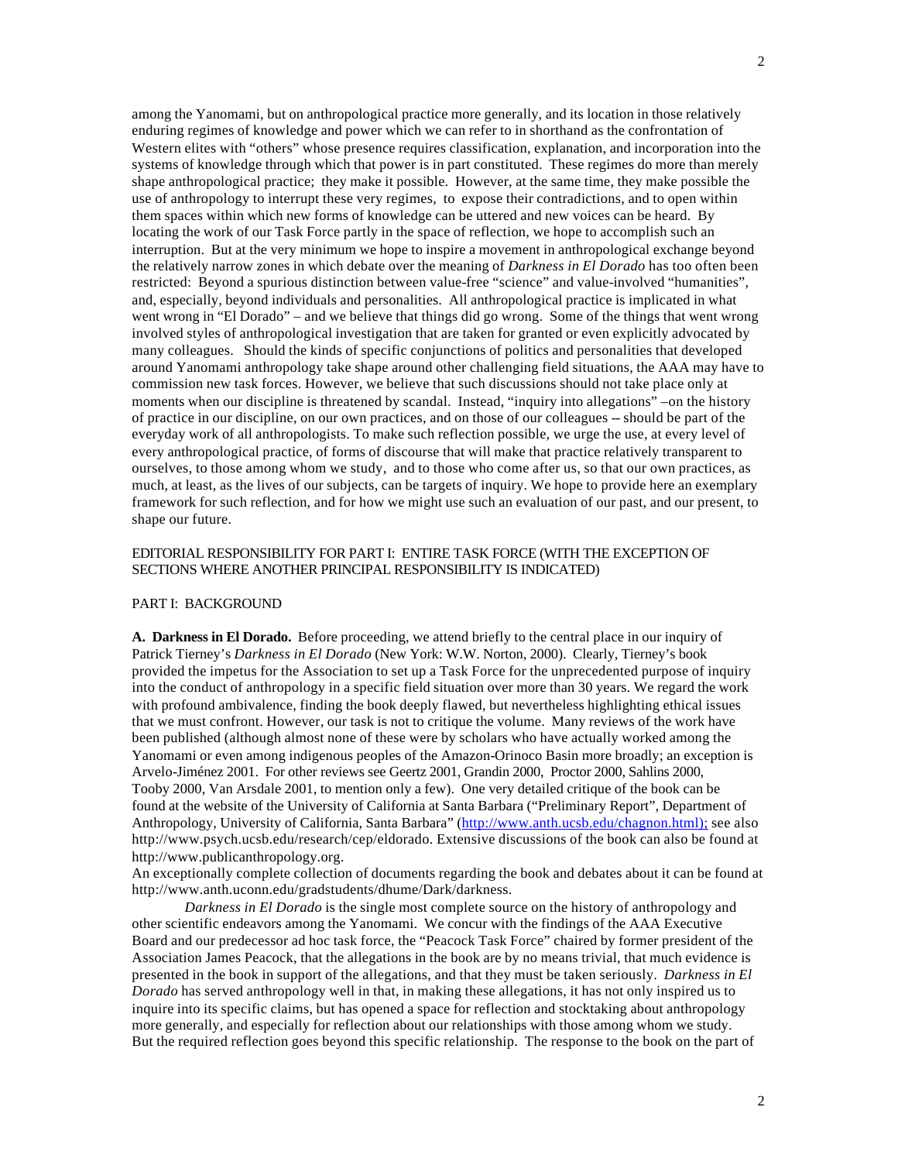2

among the Yanomami, but on anthropological practice more generally, and its location in those relatively enduring regimes of knowledge and power which we can refer to in shorthand as the confrontation of Western elites with "others" whose presence requires classification, explanation, and incorporation into the systems of knowledge through which that power is in part constituted. These regimes do more than merely shape anthropological practice; they make it possible. However, at the same time, they make possible the use of anthropology to interrupt these very regimes, to expose their contradictions, and to open within them spaces within which new forms of knowledge can be uttered and new voices can be heard. By locating the work of our Task Force partly in the space of reflection, we hope to accomplish such an interruption. But at the very minimum we hope to inspire a movement in anthropological exchange beyond the relatively narrow zones in which debate over the meaning of *Darkness in El Dorado* has too often been restricted: Beyond a spurious distinction between value-free "science" and value-involved "humanities", and, especially, beyond individuals and personalities. All anthropological practice is implicated in what went wrong in "El Dorado" – and we believe that things did go wrong. Some of the things that went wrong involved styles of anthropological investigation that are taken for granted or even explicitly advocated by many colleagues. Should the kinds of specific conjunctions of politics and personalities that developed around Yanomami anthropology take shape around other challenging field situations, the AAA may have to commission new task forces. However, we believe that such discussions should not take place only at moments when our discipline is threatened by scandal. Instead, "inquiry into allegations" –on the history of practice in our discipline, on our own practices, and on those of our colleagues -- should be part of the everyday work of all anthropologists. To make such reflection possible, we urge the use, at every level of every anthropological practice, of forms of discourse that will make that practice relatively transparent to ourselves, to those among whom we study, and to those who come after us, so that our own practices, as much, at least, as the lives of our subjects, can be targets of inquiry. We hope to provide here an exemplary framework for such reflection, and for how we might use such an evaluation of our past, and our present, to shape our future.

# EDITORIAL RESPONSIBILITY FOR PART I: ENTIRE TASK FORCE (WITH THE EXCEPTION OF SECTIONS WHERE ANOTHER PRINCIPAL RESPONSIBILITY IS INDICATED)

#### PART I: BACKGROUND

**A. Darkness in El Dorado.** Before proceeding, we attend briefly to the central place in our inquiry of Patrick Tierney's *Darkness in El Dorado* (New York: W.W. Norton, 2000). Clearly, Tierney's book provided the impetus for the Association to set up a Task Force for the unprecedented purpose of inquiry into the conduct of anthropology in a specific field situation over more than 30 years. We regard the work with profound ambivalence, finding the book deeply flawed, but nevertheless highlighting ethical issues that we must confront. However, our task is not to critique the volume. Many reviews of the work have been published (although almost none of these were by scholars who have actually worked among the Yanomami or even among indigenous peoples of the Amazon-Orinoco Basin more broadly; an exception is Arvelo-Jiménez 2001. For other reviews see Geertz 2001, Grandin 2000, Proctor 2000, Sahlins 2000, Tooby 2000, Van Arsdale 2001, to mention only a few). One very detailed critique of the book can be found at the website of the University of California at Santa Barbara ("Preliminary Report", Department of Anthropology, University of California, Santa Barbara" (http://www.anth.ucsb.edu/chagnon.html); see also http://www.psych.ucsb.edu/research/cep/eldorado. Extensive discussions of the book can also be found at http://www.publicanthropology.org.

An exceptionally complete collection of documents regarding the book and debates about it can be found at http://www.anth.uconn.edu/gradstudents/dhume/Dark/darkness.

*Darkness in El Dorado* is the single most complete source on the history of anthropology and other scientific endeavors among the Yanomami. We concur with the findings of the AAA Executive Board and our predecessor ad hoc task force, the "Peacock Task Force" chaired by former president of the Association James Peacock, that the allegations in the book are by no means trivial, that much evidence is presented in the book in support of the allegations, and that they must be taken seriously. *Darkness in El Dorado* has served anthropology well in that, in making these allegations, it has not only inspired us to inquire into its specific claims, but has opened a space for reflection and stocktaking about anthropology more generally, and especially for reflection about our relationships with those among whom we study. But the required reflection goes beyond this specific relationship. The response to the book on the part of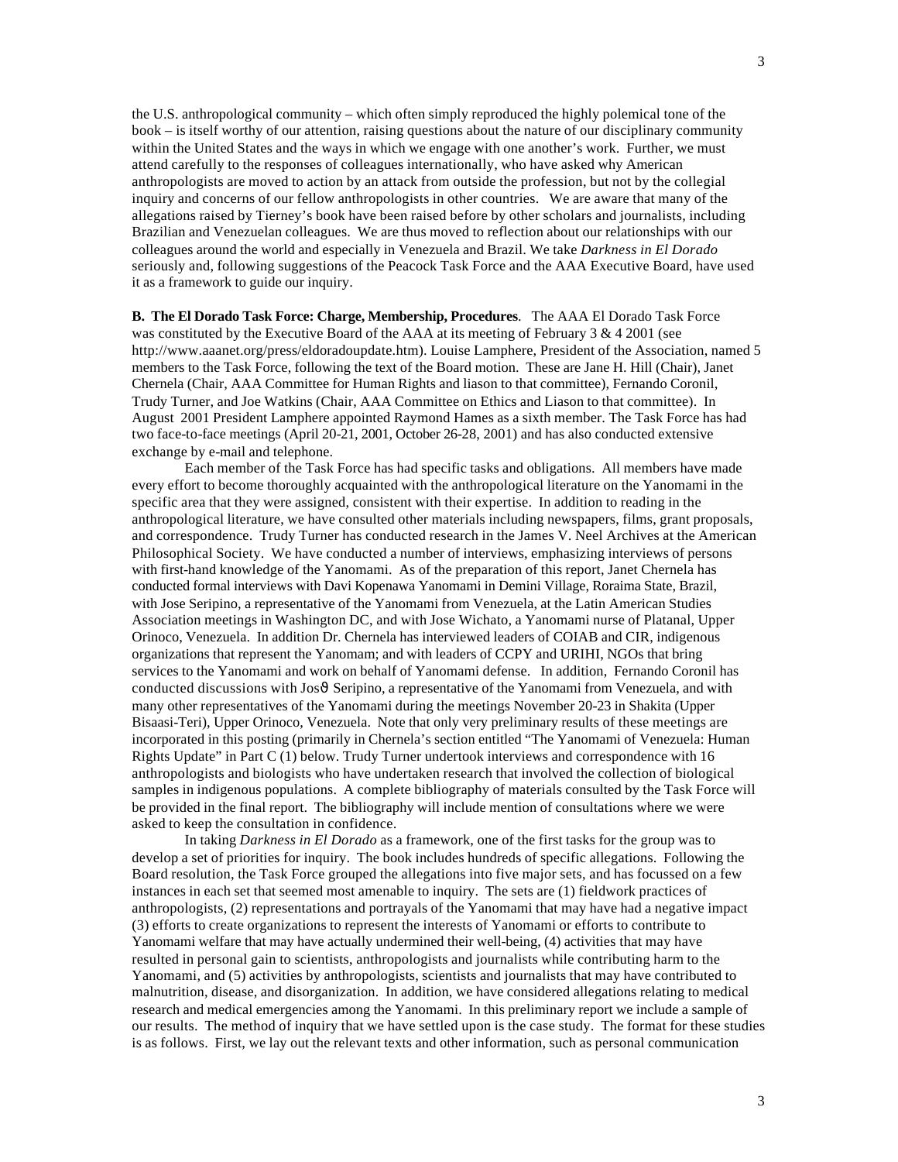3

the U.S. anthropological community – which often simply reproduced the highly polemical tone of the book – is itself worthy of our attention, raising questions about the nature of our disciplinary community within the United States and the ways in which we engage with one another's work. Further, we must attend carefully to the responses of colleagues internationally, who have asked why American anthropologists are moved to action by an attack from outside the profession, but not by the collegial inquiry and concerns of our fellow anthropologists in other countries. We are aware that many of the allegations raised by Tierney's book have been raised before by other scholars and journalists, including Brazilian and Venezuelan colleagues. We are thus moved to reflection about our relationships with our colleagues around the world and especially in Venezuela and Brazil. We take *Darkness in El Dorado* seriously and, following suggestions of the Peacock Task Force and the AAA Executive Board, have used it as a framework to guide our inquiry.

**B. The El Dorado Task Force: Charge, Membership, Procedures**. The AAA El Dorado Task Force was constituted by the Executive Board of the AAA at its meeting of February 3  $\&$  4 2001 (see http://www.aaanet.org/press/eldoradoupdate.htm). Louise Lamphere, President of the Association, named 5 members to the Task Force, following the text of the Board motion. These are Jane H. Hill (Chair), Janet Chernela (Chair, AAA Committee for Human Rights and liason to that committee), Fernando Coronil, Trudy Turner, and Joe Watkins (Chair, AAA Committee on Ethics and Liason to that committee). In August 2001 President Lamphere appointed Raymond Hames as a sixth member. The Task Force has had two face-to-face meetings (April 20-21, 2001, October 26-28, 2001) and has also conducted extensive exchange by e-mail and telephone.

Each member of the Task Force has had specific tasks and obligations. All members have made every effort to become thoroughly acquainted with the anthropological literature on the Yanomami in the specific area that they were assigned, consistent with their expertise. In addition to reading in the anthropological literature, we have consulted other materials including newspapers, films, grant proposals, and correspondence. Trudy Turner has conducted research in the James V. Neel Archives at the American Philosophical Society. We have conducted a number of interviews, emphasizing interviews of persons with first-hand knowledge of the Yanomami. As of the preparation of this report, Janet Chernela has conducted formal interviews with Davi Kopenawa Yanomami in Demini Village, Roraima State, Brazil, with Jose Seripino, a representative of the Yanomami from Venezuela, at the Latin American Studies Association meetings in Washington DC, and with Jose Wichato, a Yanomami nurse of Platanal, Upper Orinoco, Venezuela. In addition Dr. Chernela has interviewed leaders of COIAB and CIR, indigenous organizations that represent the Yanomam; and with leaders of CCPY and URIHI, NGOs that bring services to the Yanomami and work on behalf of Yanomami defense. In addition, Fernando Coronil has conducted discussions with Jos $\vartheta$  Seripino, a representative of the Yanomami from Venezuela, and with many other representatives of the Yanomami during the meetings November 20-23 in Shakita (Upper Bisaasi-Teri), Upper Orinoco, Venezuela. Note that only very preliminary results of these meetings are incorporated in this posting (primarily in Chernela's section entitled "The Yanomami of Venezuela: Human Rights Update" in Part C (1) below. Trudy Turner undertook interviews and correspondence with 16 anthropologists and biologists who have undertaken research that involved the collection of biological samples in indigenous populations. A complete bibliography of materials consulted by the Task Force will be provided in the final report. The bibliography will include mention of consultations where we were asked to keep the consultation in confidence.

In taking *Darkness in El Dorado* as a framework, one of the first tasks for the group was to develop a set of priorities for inquiry. The book includes hundreds of specific allegations. Following the Board resolution, the Task Force grouped the allegations into five major sets, and has focussed on a few instances in each set that seemed most amenable to inquiry. The sets are (1) fieldwork practices of anthropologists, (2) representations and portrayals of the Yanomami that may have had a negative impact (3) efforts to create organizations to represent the interests of Yanomami or efforts to contribute to Yanomami welfare that may have actually undermined their well-being, (4) activities that may have resulted in personal gain to scientists, anthropologists and journalists while contributing harm to the Yanomami, and (5) activities by anthropologists, scientists and journalists that may have contributed to malnutrition, disease, and disorganization. In addition, we have considered allegations relating to medical research and medical emergencies among the Yanomami. In this preliminary report we include a sample of our results. The method of inquiry that we have settled upon is the case study. The format for these studies is as follows. First, we lay out the relevant texts and other information, such as personal communication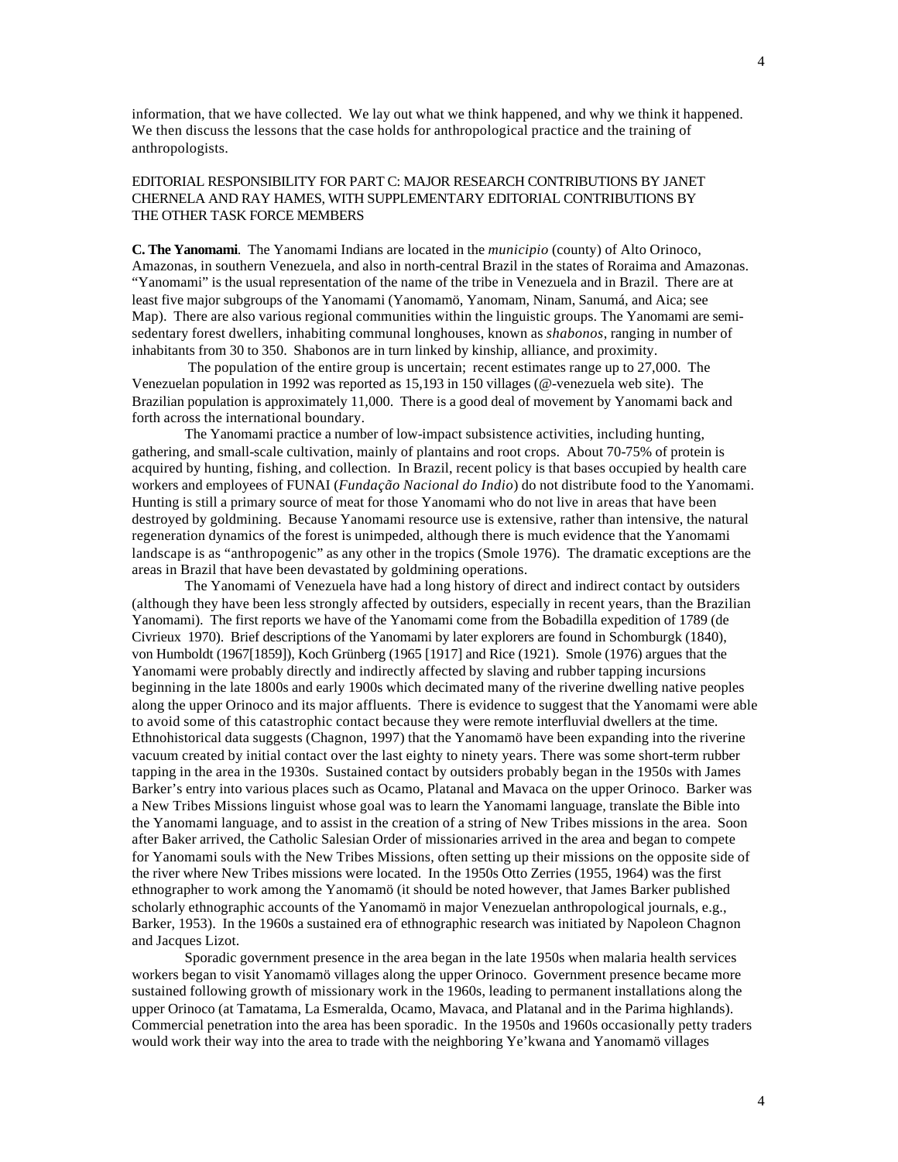information, that we have collected. We lay out what we think happened, and why we think it happened. We then discuss the lessons that the case holds for anthropological practice and the training of anthropologists.

# EDITORIAL RESPONSIBILITY FOR PART C: MAJOR RESEARCH CONTRIBUTIONS BY JANET CHERNELA AND RAY HAMES, WITH SUPPLEMENTARY EDITORIAL CONTRIBUTIONS BY THE OTHER TASK FORCE MEMBERS

**C. The Yanomami**. The Yanomami Indians are located in the *municipio* (county) of Alto Orinoco, Amazonas, in southern Venezuela, and also in north-central Brazil in the states of Roraima and Amazonas. "Yanomami" is the usual representation of the name of the tribe in Venezuela and in Brazil. There are at least five major subgroups of the Yanomami (Yanomamö, Yanomam, Ninam, Sanumá, and Aica; see Map). There are also various regional communities within the linguistic groups. The Yanomami are semisedentary forest dwellers, inhabiting communal longhouses, known as *shabonos*, ranging in number of inhabitants from 30 to 350. Shabonos are in turn linked by kinship, alliance, and proximity.

 The population of the entire group is uncertain; recent estimates range up to 27,000. The Venezuelan population in 1992 was reported as 15,193 in 150 villages (@-venezuela web site). The Brazilian population is approximately 11,000. There is a good deal of movement by Yanomami back and forth across the international boundary.

The Yanomami practice a number of low-impact subsistence activities, including hunting, gathering, and small-scale cultivation, mainly of plantains and root crops. About 70-75% of protein is acquired by hunting, fishing, and collection. In Brazil, recent policy is that bases occupied by health care workers and employees of FUNAI (*Fundação Nacional do Indio*) do not distribute food to the Yanomami. Hunting is still a primary source of meat for those Yanomami who do not live in areas that have been destroyed by goldmining. Because Yanomami resource use is extensive, rather than intensive, the natural regeneration dynamics of the forest is unimpeded, although there is much evidence that the Yanomami landscape is as "anthropogenic" as any other in the tropics (Smole 1976). The dramatic exceptions are the areas in Brazil that have been devastated by goldmining operations.

The Yanomami of Venezuela have had a long history of direct and indirect contact by outsiders (although they have been less strongly affected by outsiders, especially in recent years, than the Brazilian Yanomami). The first reports we have of the Yanomami come from the Bobadilla expedition of 1789 (de Civrieux 1970). Brief descriptions of the Yanomami by later explorers are found in Schomburgk (1840), von Humboldt (1967[1859]), Koch Grünberg (1965 [1917] and Rice (1921). Smole (1976) argues that the Yanomami were probably directly and indirectly affected by slaving and rubber tapping incursions beginning in the late 1800s and early 1900s which decimated many of the riverine dwelling native peoples along the upper Orinoco and its major affluents. There is evidence to suggest that the Yanomami were able to avoid some of this catastrophic contact because they were remote interfluvial dwellers at the time. Ethnohistorical data suggests (Chagnon, 1997) that the Yanomamö have been expanding into the riverine vacuum created by initial contact over the last eighty to ninety years. There was some short-term rubber tapping in the area in the 1930s. Sustained contact by outsiders probably began in the 1950s with James Barker's entry into various places such as Ocamo, Platanal and Mavaca on the upper Orinoco. Barker was a New Tribes Missions linguist whose goal was to learn the Yanomami language, translate the Bible into the Yanomami language, and to assist in the creation of a string of New Tribes missions in the area. Soon after Baker arrived, the Catholic Salesian Order of missionaries arrived in the area and began to compete for Yanomami souls with the New Tribes Missions, often setting up their missions on the opposite side of the river where New Tribes missions were located. In the 1950s Otto Zerries (1955, 1964) was the first ethnographer to work among the Yanomamö (it should be noted however, that James Barker published scholarly ethnographic accounts of the Yanomamö in major Venezuelan anthropological journals, e.g., Barker, 1953). In the 1960s a sustained era of ethnographic research was initiated by Napoleon Chagnon and Jacques Lizot.

Sporadic government presence in the area began in the late 1950s when malaria health services workers began to visit Yanomamö villages along the upper Orinoco. Government presence became more sustained following growth of missionary work in the 1960s, leading to permanent installations along the upper Orinoco (at Tamatama, La Esmeralda, Ocamo, Mavaca, and Platanal and in the Parima highlands). Commercial penetration into the area has been sporadic. In the 1950s and 1960s occasionally petty traders would work their way into the area to trade with the neighboring Ye'kwana and Yanomamö villages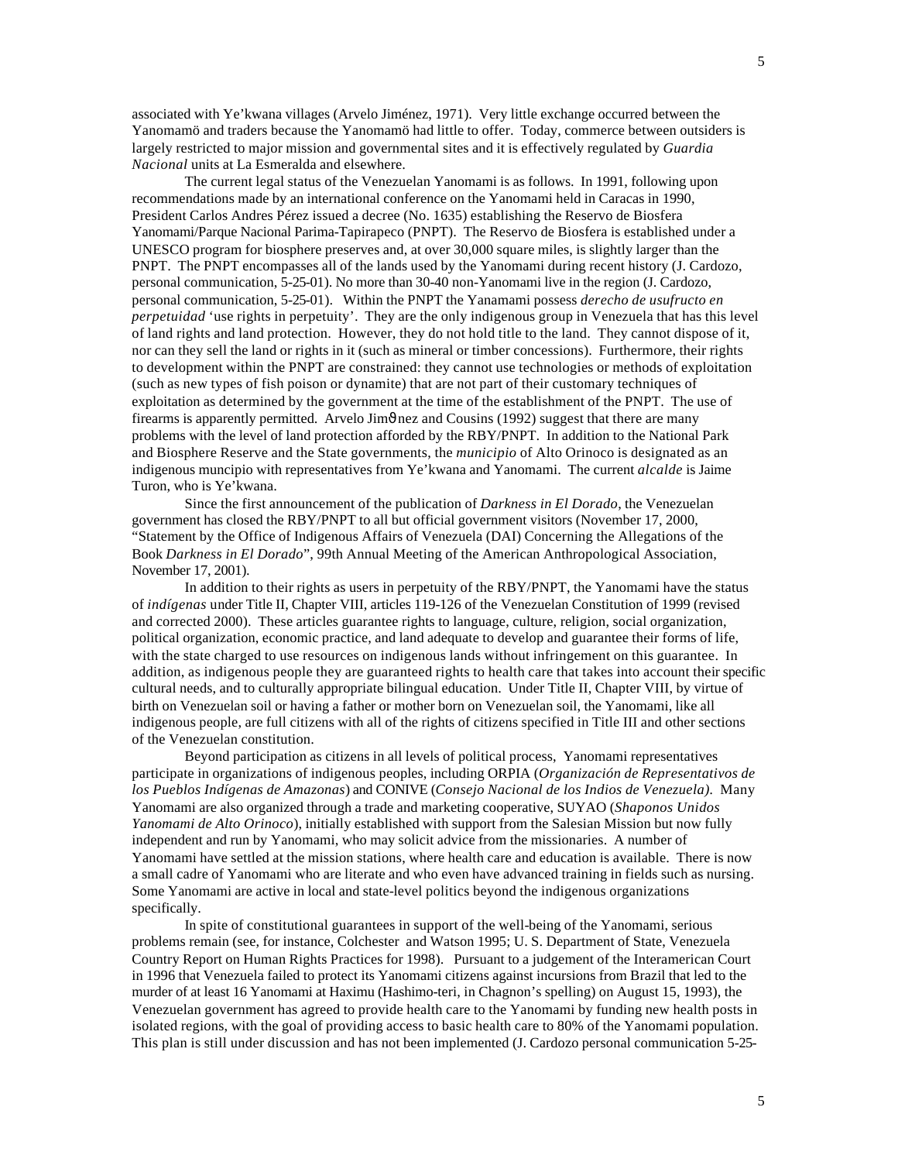associated with Ye'kwana villages (Arvelo Jiménez, 1971). Very little exchange occurred between the Yanomamö and traders because the Yanomamö had little to offer. Today, commerce between outsiders is largely restricted to major mission and governmental sites and it is effectively regulated by *Guardia Nacional* units at La Esmeralda and elsewhere.

The current legal status of the Venezuelan Yanomami is as follows. In 1991, following upon recommendations made by an international conference on the Yanomami held in Caracas in 1990, President Carlos Andres Pérez issued a decree (No. 1635) establishing the Reservo de Biosfera Yanomami/Parque Nacional Parima-Tapirapeco (PNPT). The Reservo de Biosfera is established under a UNESCO program for biosphere preserves and, at over 30,000 square miles, is slightly larger than the PNPT. The PNPT encompasses all of the lands used by the Yanomami during recent history (J. Cardozo, personal communication, 5-25-01). No more than 30-40 non-Yanomami live in the region (J. Cardozo, personal communication, 5-25-01). Within the PNPT the Yanamami possess *derecho de usufructo en perpetuidad* 'use rights in perpetuity'. They are the only indigenous group in Venezuela that has this level of land rights and land protection. However, they do not hold title to the land. They cannot dispose of it, nor can they sell the land or rights in it (such as mineral or timber concessions). Furthermore, their rights to development within the PNPT are constrained: they cannot use technologies or methods of exploitation (such as new types of fish poison or dynamite) that are not part of their customary techniques of exploitation as determined by the government at the time of the establishment of the PNPT. The use of firearms is apparently permitted. Arvelo Jim $\vartheta$ nez and Cousins (1992) suggest that there are many problems with the level of land protection afforded by the RBY/PNPT. In addition to the National Park and Biosphere Reserve and the State governments, the *municipio* of Alto Orinoco is designated as an indigenous muncipio with representatives from Ye'kwana and Yanomami. The current *alcalde* is Jaime Turon, who is Ye'kwana.

Since the first announcement of the publication of *Darkness in El Dorado*, the Venezuelan government has closed the RBY/PNPT to all but official government visitors (November 17, 2000, "Statement by the Office of Indigenous Affairs of Venezuela (DAI) Concerning the Allegations of the Book *Darkness in El Dorado*", 99th Annual Meeting of the American Anthropological Association, November 17, 2001).

In addition to their rights as users in perpetuity of the RBY/PNPT, the Yanomami have the status of *indígenas* under Title II, Chapter VIII, articles 119-126 of the Venezuelan Constitution of 1999 (revised and corrected 2000). These articles guarantee rights to language, culture, religion, social organization, political organization, economic practice, and land adequate to develop and guarantee their forms of life, with the state charged to use resources on indigenous lands without infringement on this guarantee. In addition, as indigenous people they are guaranteed rights to health care that takes into account their specific cultural needs, and to culturally appropriate bilingual education. Under Title II, Chapter VIII, by virtue of birth on Venezuelan soil or having a father or mother born on Venezuelan soil, the Yanomami, like all indigenous people, are full citizens with all of the rights of citizens specified in Title III and other sections of the Venezuelan constitution.

Beyond participation as citizens in all levels of political process, Yanomami representatives participate in organizations of indigenous peoples, including ORPIA (*Organización de Representativos de los Pueblos Indígenas de Amazonas*) and CONIVE (*Consejo Nacional de los Indios de Venezuela).* Many Yanomami are also organized through a trade and marketing cooperative, SUYAO (*Shaponos Unidos Yanomami de Alto Orinoco*), initially established with support from the Salesian Mission but now fully independent and run by Yanomami, who may solicit advice from the missionaries. A number of Yanomami have settled at the mission stations, where health care and education is available. There is now a small cadre of Yanomami who are literate and who even have advanced training in fields such as nursing. Some Yanomami are active in local and state-level politics beyond the indigenous organizations specifically.

In spite of constitutional guarantees in support of the well-being of the Yanomami, serious problems remain (see, for instance, Colchester and Watson 1995; U. S. Department of State, Venezuela Country Report on Human Rights Practices for 1998). Pursuant to a judgement of the Interamerican Court in 1996 that Venezuela failed to protect its Yanomami citizens against incursions from Brazil that led to the murder of at least 16 Yanomami at Haximu (Hashimo-teri, in Chagnon's spelling) on August 15, 1993), the Venezuelan government has agreed to provide health care to the Yanomami by funding new health posts in isolated regions, with the goal of providing access to basic health care to 80% of the Yanomami population. This plan is still under discussion and has not been implemented (J. Cardozo personal communication 5-25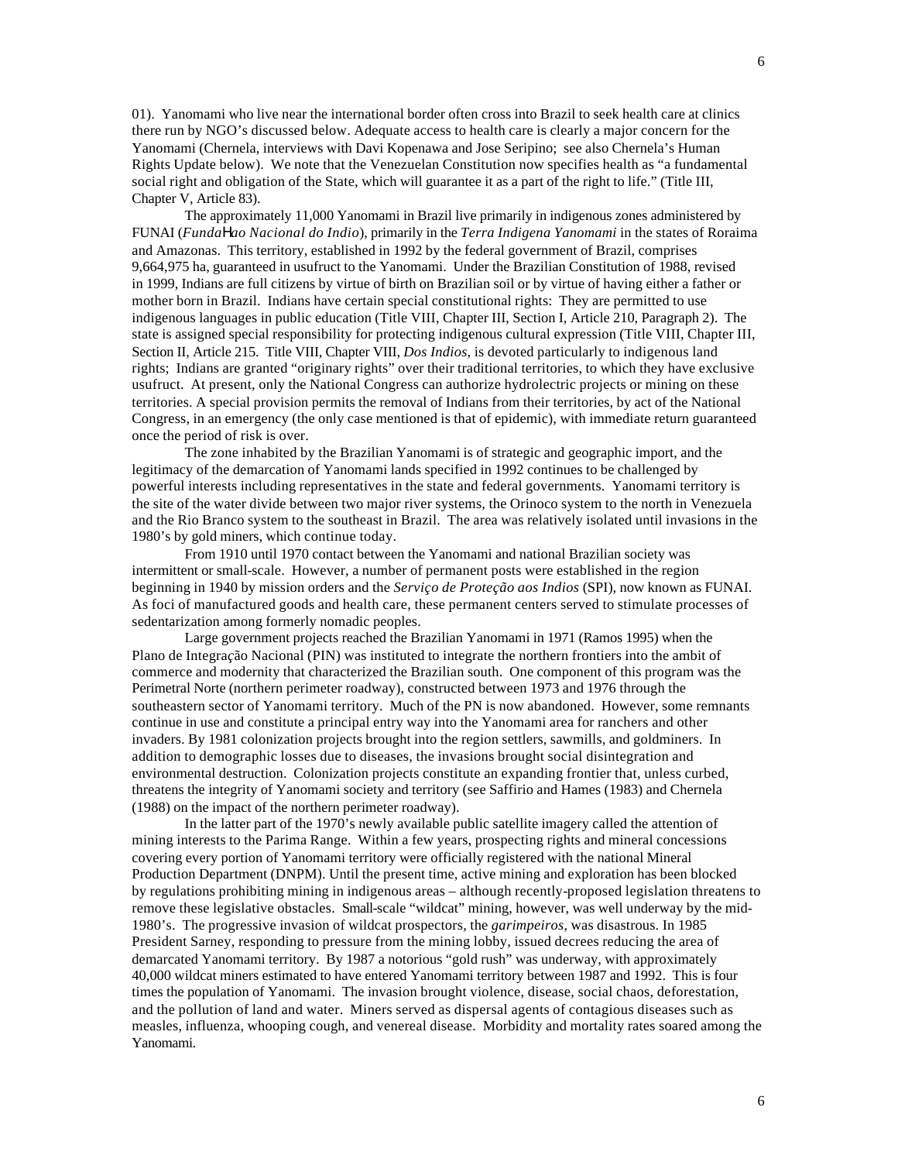01). Yanomami who live near the international border often cross into Brazil to seek health care at clinics there run by NGO's discussed below. Adequate access to health care is clearly a major concern for the Yanomami (Chernela, interviews with Davi Kopenawa and Jose Seripino; see also Chernela's Human Rights Update below). We note that the Venezuelan Constitution now specifies health as "a fundamental social right and obligation of the State, which will guarantee it as a part of the right to life." (Title III, Chapter V, Article 83).

The approximately 11,000 Yanomami in Brazil live primarily in indigenous zones administered by FUNAI (*Funda*Η*ao Nacional do Indio*), primarily in the *Terra Indigena Yanomami* in the states of Roraima and Amazonas. This territory, established in 1992 by the federal government of Brazil, comprises 9,664,975 ha, guaranteed in usufruct to the Yanomami. Under the Brazilian Constitution of 1988, revised in 1999, Indians are full citizens by virtue of birth on Brazilian soil or by virtue of having either a father or mother born in Brazil. Indians have certain special constitutional rights: They are permitted to use indigenous languages in public education (Title VIII, Chapter III, Section I, Article 210, Paragraph 2). The state is assigned special responsibility for protecting indigenous cultural expression (Title VIII, Chapter III, Section II, Article 215. Title VIII, Chapter VIII, *Dos Indios*, is devoted particularly to indigenous land rights; Indians are granted "originary rights" over their traditional territories, to which they have exclusive usufruct. At present, only the National Congress can authorize hydrolectric projects or mining on these territories. A special provision permits the removal of Indians from their territories, by act of the National Congress, in an emergency (the only case mentioned is that of epidemic), with immediate return guaranteed once the period of risk is over.

The zone inhabited by the Brazilian Yanomami is of strategic and geographic import, and the legitimacy of the demarcation of Yanomami lands specified in 1992 continues to be challenged by powerful interests including representatives in the state and federal governments. Yanomami territory is the site of the water divide between two major river systems, the Orinoco system to the north in Venezuela and the Rio Branco system to the southeast in Brazil. The area was relatively isolated until invasions in the 1980's by gold miners, which continue today.

From 1910 until 1970 contact between the Yanomami and national Brazilian society was intermittent or small-scale. However, a number of permanent posts were established in the region beginning in 1940 by mission orders and the *Serviço de Proteção aos Indios* (SPI), now known as FUNAI. As foci of manufactured goods and health care, these permanent centers served to stimulate processes of sedentarization among formerly nomadic peoples.

Large government projects reached the Brazilian Yanomami in 1971 (Ramos 1995) when the Plano de Integra*ç*ão Nacional (PIN) was instituted to integrate the northern frontiers into the ambit of commerce and modernity that characterized the Brazilian south. One component of this program was the Perimetral Norte (northern perimeter roadway), constructed between 1973 and 1976 through the southeastern sector of Yanomami territory. Much of the PN is now abandoned. However, some remnants continue in use and constitute a principal entry way into the Yanomami area for ranchers and other invaders. By 1981 colonization projects brought into the region settlers, sawmills, and goldminers. In addition to demographic losses due to diseases, the invasions brought social disintegration and environmental destruction. Colonization projects constitute an expanding frontier that, unless curbed, threatens the integrity of Yanomami society and territory (see Saffirio and Hames (1983) and Chernela (1988) on the impact of the northern perimeter roadway).

In the latter part of the 1970's newly available public satellite imagery called the attention of mining interests to the Parima Range. Within a few years, prospecting rights and mineral concessions covering every portion of Yanomami territory were officially registered with the national Mineral Production Department (DNPM). Until the present time, active mining and exploration has been blocked by regulations prohibiting mining in indigenous areas – although recently-proposed legislation threatens to remove these legislative obstacles. Small-scale "wildcat" mining, however, was well underway by the mid-1980's. The progressive invasion of wildcat prospectors, the *garimpeiros*, was disastrous. In 1985 President Sarney, responding to pressure from the mining lobby, issued decrees reducing the area of demarcated Yanomami territory. By 1987 a notorious "gold rush" was underway, with approximately 40,000 wildcat miners estimated to have entered Yanomami territory between 1987 and 1992. This is four times the population of Yanomami. The invasion brought violence, disease, social chaos, deforestation, and the pollution of land and water. Miners served as dispersal agents of contagious diseases such as measles, influenza, whooping cough, and venereal disease. Morbidity and mortality rates soared among the Yanomami.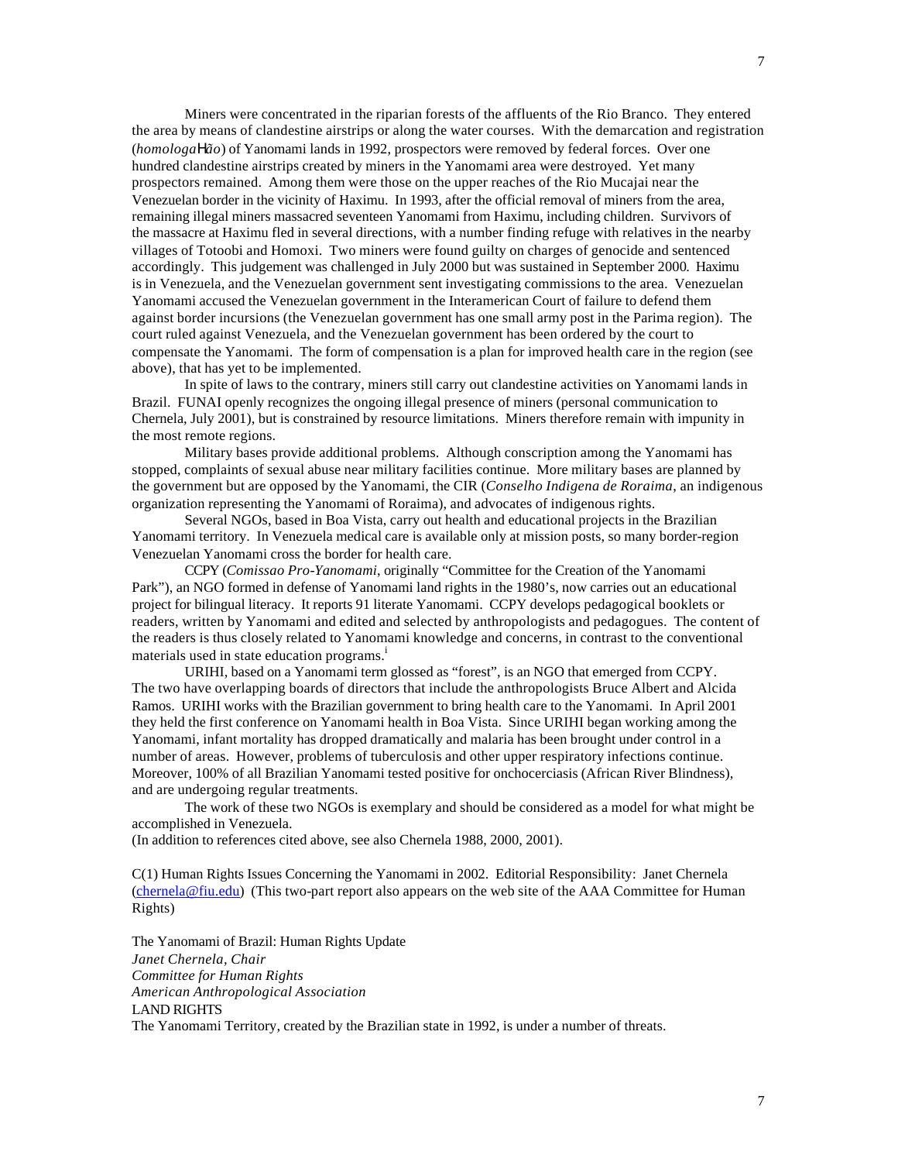Miners were concentrated in the riparian forests of the affluents of the Rio Branco. They entered the area by means of clandestine airstrips or along the water courses. With the demarcation and registration (*homologa*Η*ão*) of Yanomami lands in 1992, prospectors were removed by federal forces. Over one hundred clandestine airstrips created by miners in the Yanomami area were destroyed. Yet many prospectors remained. Among them were those on the upper reaches of the Rio Mucajai near the Venezuelan border in the vicinity of Haximu. In 1993, after the official removal of miners from the area, remaining illegal miners massacred seventeen Yanomami from Haximu, including children. Survivors of the massacre at Haximu fled in several directions, with a number finding refuge with relatives in the nearby villages of Totoobi and Homoxi. Two miners were found guilty on charges of genocide and sentenced accordingly. This judgement was challenged in July 2000 but was sustained in September 2000. Haximu is in Venezuela, and the Venezuelan government sent investigating commissions to the area. Venezuelan Yanomami accused the Venezuelan government in the Interamerican Court of failure to defend them against border incursions (the Venezuelan government has one small army post in the Parima region). The court ruled against Venezuela, and the Venezuelan government has been ordered by the court to compensate the Yanomami. The form of compensation is a plan for improved health care in the region (see above), that has yet to be implemented.

In spite of laws to the contrary, miners still carry out clandestine activities on Yanomami lands in Brazil. FUNAI openly recognizes the ongoing illegal presence of miners (personal communication to Chernela, July 2001), but is constrained by resource limitations. Miners therefore remain with impunity in the most remote regions.

Military bases provide additional problems. Although conscription among the Yanomami has stopped, complaints of sexual abuse near military facilities continue. More military bases are planned by the government but are opposed by the Yanomami, the CIR (*Conselho Indigena de Roraima*, an indigenous organization representing the Yanomami of Roraima), and advocates of indigenous rights.

Several NGOs, based in Boa Vista, carry out health and educational projects in the Brazilian Yanomami territory. In Venezuela medical care is available only at mission posts, so many border-region Venezuelan Yanomami cross the border for health care.

CCPY (*Comissao Pro-Yanomami*, originally "Committee for the Creation of the Yanomami Park"), an NGO formed in defense of Yanomami land rights in the 1980's, now carries out an educational project for bilingual literacy. It reports 91 literate Yanomami. CCPY develops pedagogical booklets or readers, written by Yanomami and edited and selected by anthropologists and pedagogues. The content of the readers is thus closely related to Yanomami knowledge and concerns, in contrast to the conventional materials used in state education programs.<sup>i</sup>

URIHI, based on a Yanomami term glossed as "forest", is an NGO that emerged from CCPY. The two have overlapping boards of directors that include the anthropologists Bruce Albert and Alcida Ramos. URIHI works with the Brazilian government to bring health care to the Yanomami. In April 2001 they held the first conference on Yanomami health in Boa Vista. Since URIHI began working among the Yanomami, infant mortality has dropped dramatically and malaria has been brought under control in a number of areas. However, problems of tuberculosis and other upper respiratory infections continue. Moreover, 100% of all Brazilian Yanomami tested positive for onchocerciasis (African River Blindness), and are undergoing regular treatments.

The work of these two NGOs is exemplary and should be considered as a model for what might be accomplished in Venezuela.

(In addition to references cited above, see also Chernela 1988, 2000, 2001).

C(1) Human Rights Issues Concerning the Yanomami in 2002. Editorial Responsibility: Janet Chernela (chernela@fiu.edu) (This two-part report also appears on the web site of the AAA Committee for Human Rights)

The Yanomami of Brazil: Human Rights Update *Janet Chernela, Chair Committee for Human Rights American Anthropological Association* LAND RIGHTS The Yanomami Territory, created by the Brazilian state in 1992, is under a number of threats.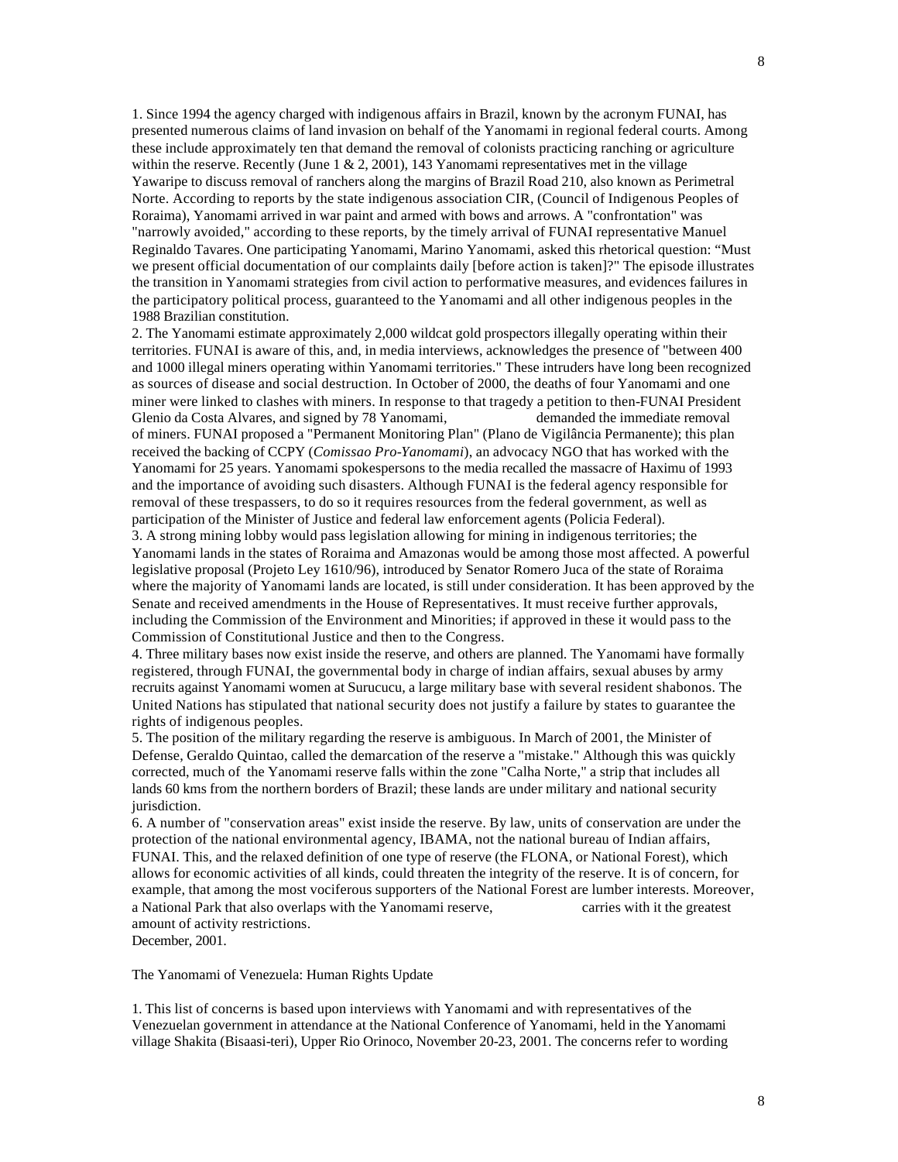1. Since 1994 the agency charged with indigenous affairs in Brazil, known by the acronym FUNAI, has presented numerous claims of land invasion on behalf of the Yanomami in regional federal courts. Among these include approximately ten that demand the removal of colonists practicing ranching or agriculture within the reserve. Recently (June  $1 \& 2, 2001$ ), 143 Yanomami representatives met in the village Yawaripe to discuss removal of ranchers along the margins of Brazil Road 210, also known as Perimetral Norte. According to reports by the state indigenous association CIR, (Council of Indigenous Peoples of Roraima), Yanomami arrived in war paint and armed with bows and arrows. A "confrontation" was "narrowly avoided," according to these reports, by the timely arrival of FUNAI representative Manuel Reginaldo Tavares. One participating Yanomami, Marino Yanomami, asked this rhetorical question: "Must we present official documentation of our complaints daily [before action is taken]?" The episode illustrates the transition in Yanomami strategies from civil action to performative measures, and evidences failures in the participatory political process, guaranteed to the Yanomami and all other indigenous peoples in the 1988 Brazilian constitution.

2. The Yanomami estimate approximately 2,000 wildcat gold prospectors illegally operating within their territories. FUNAI is aware of this, and, in media interviews, acknowledges the presence of "between 400 and 1000 illegal miners operating within Yanomami territories." These intruders have long been recognized as sources of disease and social destruction. In October of 2000, the deaths of four Yanomami and one miner were linked to clashes with miners. In response to that tragedy a petition to then-FUNAI President Glenio da Costa Alvares, and signed by 78 Yanomami, demanded the immediate removal

of miners. FUNAI proposed a "Permanent Monitoring Plan" (Plano de Vigilância Permanente); this plan received the backing of CCPY (*Comissao Pro-Yanomami*), an advocacy NGO that has worked with the Yanomami for 25 years. Yanomami spokespersons to the media recalled the massacre of Haximu of 1993 and the importance of avoiding such disasters. Although FUNAI is the federal agency responsible for removal of these trespassers, to do so it requires resources from the federal government, as well as participation of the Minister of Justice and federal law enforcement agents (Policia Federal).

3. A strong mining lobby would pass legislation allowing for mining in indigenous territories; the Yanomami lands in the states of Roraima and Amazonas would be among those most affected. A powerful legislative proposal (Projeto Ley 1610/96), introduced by Senator Romero Juca of the state of Roraima where the majority of Yanomami lands are located, is still under consideration. It has been approved by the Senate and received amendments in the House of Representatives. It must receive further approvals, including the Commission of the Environment and Minorities; if approved in these it would pass to the Commission of Constitutional Justice and then to the Congress.

4. Three military bases now exist inside the reserve, and others are planned. The Yanomami have formally registered, through FUNAI, the governmental body in charge of indian affairs, sexual abuses by army recruits against Yanomami women at Surucucu, a large military base with several resident shabonos. The United Nations has stipulated that national security does not justify a failure by states to guarantee the rights of indigenous peoples.

5. The position of the military regarding the reserve is ambiguous. In March of 2001, the Minister of Defense, Geraldo Quintao, called the demarcation of the reserve a "mistake." Although this was quickly corrected, much of the Yanomami reserve falls within the zone "Calha Norte," a strip that includes all lands 60 kms from the northern borders of Brazil; these lands are under military and national security jurisdiction.

6. A number of "conservation areas" exist inside the reserve. By law, units of conservation are under the protection of the national environmental agency, IBAMA, not the national bureau of Indian affairs, FUNAI. This, and the relaxed definition of one type of reserve (the FLONA, or National Forest), which allows for economic activities of all kinds, could threaten the integrity of the reserve. It is of concern, for example, that among the most vociferous supporters of the National Forest are lumber interests. Moreover, a National Park that also overlaps with the Yanomami reserve, carries with it the greatest amount of activity restrictions.

December, 2001.

The Yanomami of Venezuela: Human Rights Update

1. This list of concerns is based upon interviews with Yanomami and with representatives of the Venezuelan government in attendance at the National Conference of Yanomami, held in the Yanomami village Shakita (Bisaasi-teri), Upper Rio Orinoco, November 20-23, 2001. The concerns refer to wording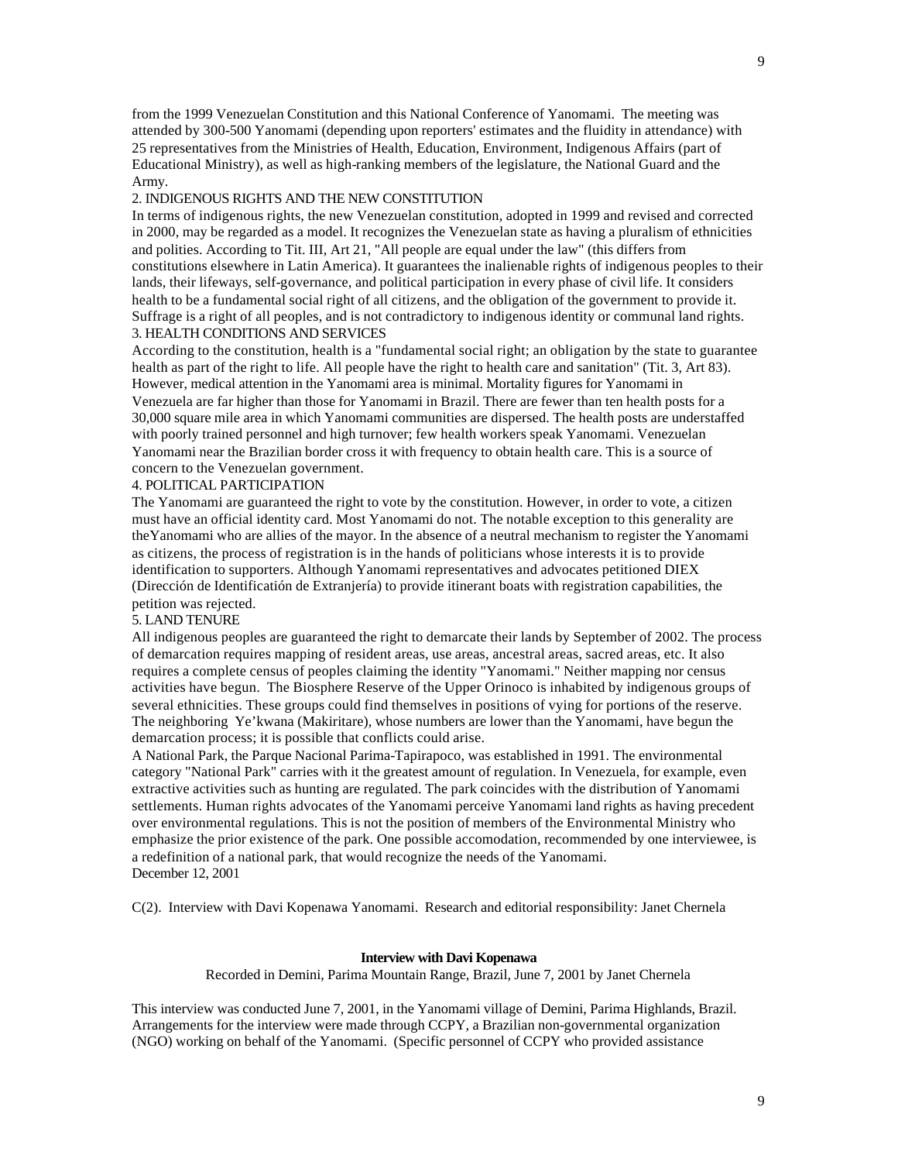from the 1999 Venezuelan Constitution and this National Conference of Yanomami. The meeting was attended by 300-500 Yanomami (depending upon reporters' estimates and the fluidity in attendance) with 25 representatives from the Ministries of Health, Education, Environment, Indigenous Affairs (part of Educational Ministry), as well as high-ranking members of the legislature, the National Guard and the Army.

## 2. INDIGENOUS RIGHTS AND THE NEW CONSTITUTION

In terms of indigenous rights, the new Venezuelan constitution, adopted in 1999 and revised and corrected in 2000, may be regarded as a model. It recognizes the Venezuelan state as having a pluralism of ethnicities and polities. According to Tit. III, Art 21, "All people are equal under the law" (this differs from constitutions elsewhere in Latin America). It guarantees the inalienable rights of indigenous peoples to their lands, their lifeways, self-governance, and political participation in every phase of civil life. It considers health to be a fundamental social right of all citizens, and the obligation of the government to provide it. Suffrage is a right of all peoples, and is not contradictory to indigenous identity or communal land rights. 3. HEALTH CONDITIONS AND SERVICES

According to the constitution, health is a "fundamental social right; an obligation by the state to guarantee health as part of the right to life. All people have the right to health care and sanitation" (Tit. 3, Art 83). However, medical attention in the Yanomami area is minimal. Mortality figures for Yanomami in Venezuela are far higher than those for Yanomami in Brazil. There are fewer than ten health posts for a 30,000 square mile area in which Yanomami communities are dispersed. The health posts are understaffed with poorly trained personnel and high turnover; few health workers speak Yanomami. Venezuelan Yanomami near the Brazilian border cross it with frequency to obtain health care. This is a source of concern to the Venezuelan government.

# 4. POLITICAL PARTICIPATION

The Yanomami are guaranteed the right to vote by the constitution. However, in order to vote, a citizen must have an official identity card. Most Yanomami do not. The notable exception to this generality are theYanomami who are allies of the mayor. In the absence of a neutral mechanism to register the Yanomami as citizens, the process of registration is in the hands of politicians whose interests it is to provide identification to supporters. Although Yanomami representatives and advocates petitioned DIEX (Dirección de Identificatión de Extranjería) to provide itinerant boats with registration capabilities, the petition was rejected.

#### 5. LAND TENURE

All indigenous peoples are guaranteed the right to demarcate their lands by September of 2002. The process of demarcation requires mapping of resident areas, use areas, ancestral areas, sacred areas, etc. It also requires a complete census of peoples claiming the identity "Yanomami." Neither mapping nor census activities have begun. The Biosphere Reserve of the Upper Orinoco is inhabited by indigenous groups of several ethnicities. These groups could find themselves in positions of vying for portions of the reserve. The neighboring Ye'kwana (Makiritare), whose numbers are lower than the Yanomami, have begun the demarcation process; it is possible that conflicts could arise.

A National Park, the Parque Nacional Parima-Tapirapoco, was established in 1991. The environmental category "National Park" carries with it the greatest amount of regulation. In Venezuela, for example, even extractive activities such as hunting are regulated. The park coincides with the distribution of Yanomami settlements. Human rights advocates of the Yanomami perceive Yanomami land rights as having precedent over environmental regulations. This is not the position of members of the Environmental Ministry who emphasize the prior existence of the park. One possible accomodation, recommended by one interviewee, is a redefinition of a national park, that would recognize the needs of the Yanomami. December 12, 2001

C(2). Interview with Davi Kopenawa Yanomami. Research and editorial responsibility: Janet Chernela

#### **Interview with Davi Kopenawa**

Recorded in Demini, Parima Mountain Range, Brazil, June 7, 2001 by Janet Chernela

This interview was conducted June 7, 2001, in the Yanomami village of Demini, Parima Highlands, Brazil. Arrangements for the interview were made through CCPY, a Brazilian non-governmental organization (NGO) working on behalf of the Yanomami. (Specific personnel of CCPY who provided assistance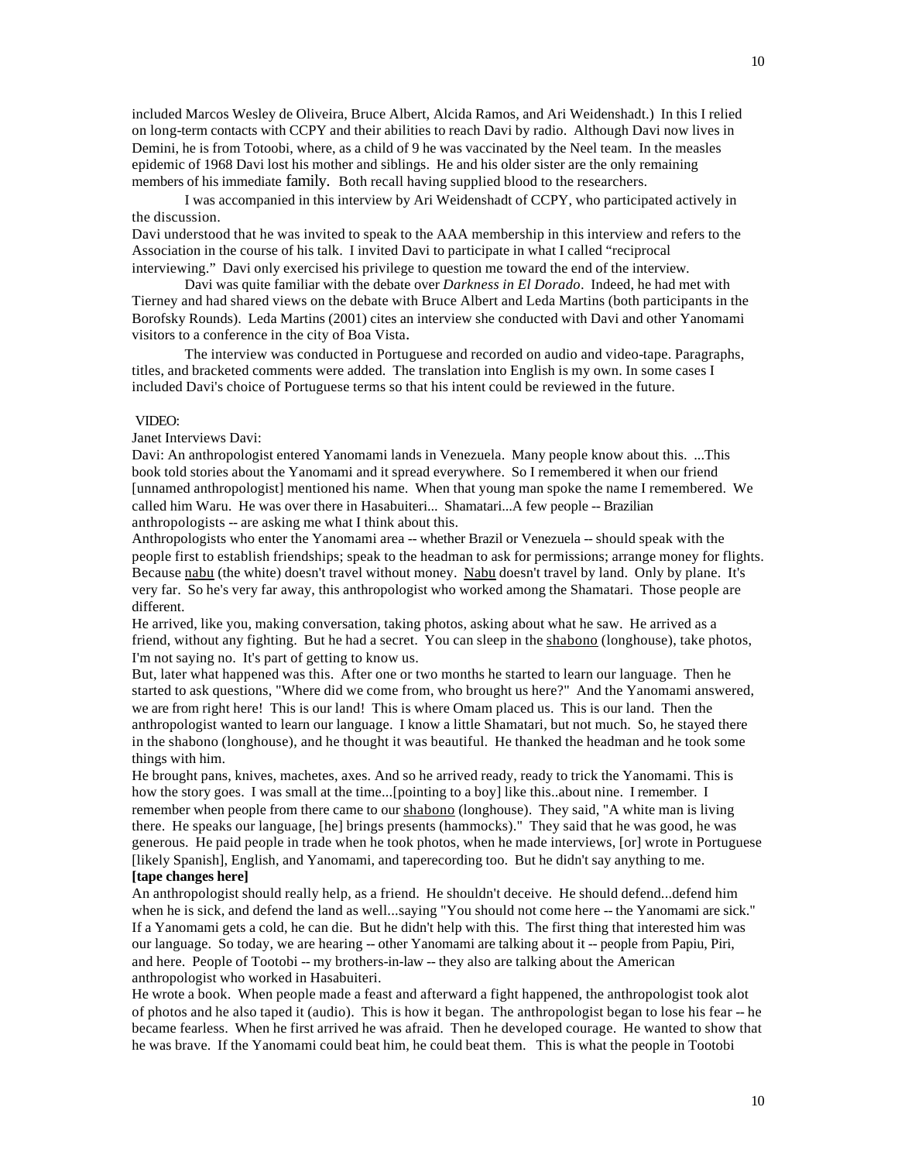included Marcos Wesley de Oliveira, Bruce Albert, Alcida Ramos, and Ari Weidenshadt.) In this I relied on long-term contacts with CCPY and their abilities to reach Davi by radio. Although Davi now lives in Demini, he is from Totoobi, where, as a child of 9 he was vaccinated by the Neel team. In the measles epidemic of 1968 Davi lost his mother and siblings. He and his older sister are the only remaining members of his immediate family. Both recall having supplied blood to the researchers.

I was accompanied in this interview by Ari Weidenshadt of CCPY, who participated actively in the discussion.

Davi understood that he was invited to speak to the AAA membership in this interview and refers to the Association in the course of his talk. I invited Davi to participate in what I called "reciprocal interviewing." Davi only exercised his privilege to question me toward the end of the interview.

Davi was quite familiar with the debate over *Darkness in El Dorado*. Indeed, he had met with Tierney and had shared views on the debate with Bruce Albert and Leda Martins (both participants in the Borofsky Rounds). Leda Martins (2001) cites an interview she conducted with Davi and other Yanomami visitors to a conference in the city of Boa Vista.

The interview was conducted in Portuguese and recorded on audio and video-tape. Paragraphs, titles, and bracketed comments were added. The translation into English is my own. In some cases I included Davi's choice of Portuguese terms so that his intent could be reviewed in the future.

#### VIDEO:

#### Janet Interviews Davi:

Davi: An anthropologist entered Yanomami lands in Venezuela. Many people know about this. ...This book told stories about the Yanomami and it spread everywhere. So I remembered it when our friend [unnamed anthropologist] mentioned his name. When that young man spoke the name I remembered. We called him Waru. He was over there in Hasabuiteri... Shamatari...A few people -- Brazilian anthropologists -- are asking me what I think about this.

Anthropologists who enter the Yanomami area -- whether Brazil or Venezuela -- should speak with the people first to establish friendships; speak to the headman to ask for permissions; arrange money for flights. Because nabu (the white) doesn't travel without money. Nabu doesn't travel by land. Only by plane. It's very far. So he's very far away, this anthropologist who worked among the Shamatari. Those people are different.

He arrived, like you, making conversation, taking photos, asking about what he saw. He arrived as a friend, without any fighting. But he had a secret. You can sleep in the shabono (longhouse), take photos, I'm not saying no. It's part of getting to know us.

But, later what happened was this. After one or two months he started to learn our language. Then he started to ask questions, "Where did we come from, who brought us here?" And the Yanomami answered, we are from right here! This is our land! This is where Omam placed us. This is our land. Then the anthropologist wanted to learn our language. I know a little Shamatari, but not much. So, he stayed there in the shabono (longhouse), and he thought it was beautiful. He thanked the headman and he took some things with him.

He brought pans, knives, machetes, axes. And so he arrived ready, ready to trick the Yanomami. This is how the story goes. I was small at the time...[pointing to a boy] like this..about nine. I remember. I remember when people from there came to our shabono (longhouse). They said, "A white man is living there. He speaks our language, [he] brings presents (hammocks)." They said that he was good, he was generous. He paid people in trade when he took photos, when he made interviews, [or] wrote in Portuguese [likely Spanish], English, and Yanomami, and taperecording too. But he didn't say anything to me. **[tape changes here]**

An anthropologist should really help, as a friend. He shouldn't deceive. He should defend...defend him when he is sick, and defend the land as well...saying "You should not come here -- the Yanomami are sick." If a Yanomami gets a cold, he can die. But he didn't help with this. The first thing that interested him was our language. So today, we are hearing -- other Yanomami are talking about it -- people from Papiu, Piri, and here. People of Tootobi -- my brothers-in-law -- they also are talking about the American anthropologist who worked in Hasabuiteri.

He wrote a book. When people made a feast and afterward a fight happened, the anthropologist took alot of photos and he also taped it (audio). This is how it began. The anthropologist began to lose his fear -- he became fearless. When he first arrived he was afraid. Then he developed courage. He wanted to show that he was brave. If the Yanomami could beat him, he could beat them. This is what the people in Tootobi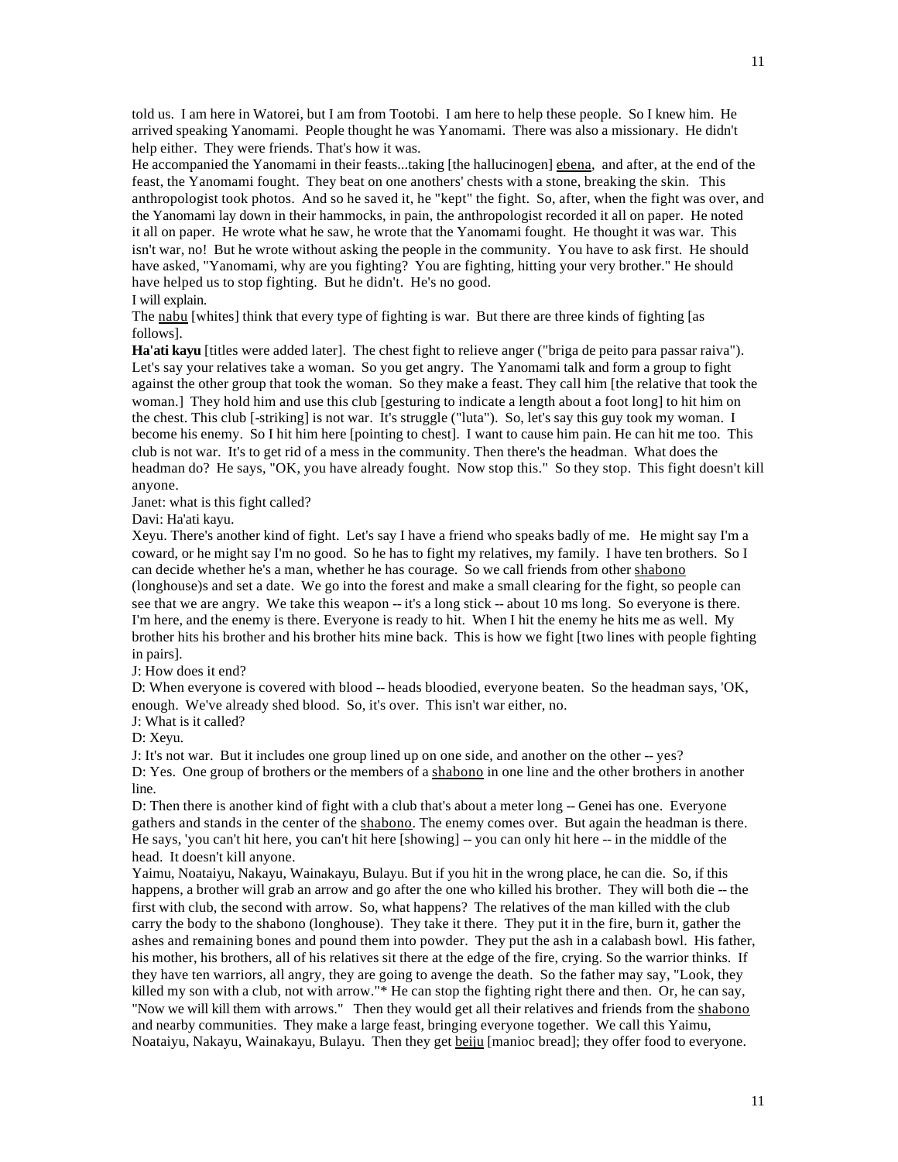told us. I am here in Watorei, but I am from Tootobi. I am here to help these people. So I knew him. He arrived speaking Yanomami. People thought he was Yanomami. There was also a missionary. He didn't help either. They were friends. That's how it was.

He accompanied the Yanomami in their feasts...taking [the hallucinogen] ebena, and after, at the end of the feast, the Yanomami fought. They beat on one anothers' chests with a stone, breaking the skin. This anthropologist took photos. And so he saved it, he "kept" the fight. So, after, when the fight was over, and the Yanomami lay down in their hammocks, in pain, the anthropologist recorded it all on paper. He noted it all on paper. He wrote what he saw, he wrote that the Yanomami fought. He thought it was war. This isn't war, no! But he wrote without asking the people in the community. You have to ask first. He should have asked, "Yanomami, why are you fighting? You are fighting, hitting your very brother." He should have helped us to stop fighting. But he didn't. He's no good.

I will explain.

The nabu [whites] think that every type of fighting is war. But there are three kinds of fighting [as follows].

**Ha'ati kayu** [titles were added later]. The chest fight to relieve anger ("briga de peito para passar raiva"). Let's say your relatives take a woman. So you get angry. The Yanomami talk and form a group to fight against the other group that took the woman. So they make a feast. They call him [the relative that took the woman.] They hold him and use this club [gesturing to indicate a length about a foot long] to hit him on the chest. This club [-striking] is not war. It's struggle ("luta"). So, let's say this guy took my woman. I become his enemy. So I hit him here [pointing to chest]. I want to cause him pain. He can hit me too. This club is not war. It's to get rid of a mess in the community. Then there's the headman. What does the headman do? He says, "OK, you have already fought. Now stop this." So they stop. This fight doesn't kill anyone.

Janet: what is this fight called?

Davi: Ha'ati kayu.

Xeyu. There's another kind of fight. Let's say I have a friend who speaks badly of me. He might say I'm a coward, or he might say I'm no good. So he has to fight my relatives, my family. I have ten brothers. So I can decide whether he's a man, whether he has courage. So we call friends from other shabono (longhouse)s and set a date. We go into the forest and make a small clearing for the fight, so people can see that we are angry. We take this weapon -- it's a long stick -- about 10 ms long. So everyone is there. I'm here, and the enemy is there. Everyone is ready to hit. When I hit the enemy he hits me as well. My brother hits his brother and his brother hits mine back. This is how we fight [two lines with people fighting in pairs].

J: How does it end?

D: When everyone is covered with blood -- heads bloodied, everyone beaten. So the headman says, 'OK, enough. We've already shed blood. So, it's over. This isn't war either, no.

J: What is it called?

D: Xeyu.

J: It's not war. But it includes one group lined up on one side, and another on the other -- yes? D: Yes. One group of brothers or the members of a shabono in one line and the other brothers in another line.

D: Then there is another kind of fight with a club that's about a meter long -- Genei has one. Everyone gathers and stands in the center of the shabono. The enemy comes over. But again the headman is there. He says, 'you can't hit here, you can't hit here [showing] -- you can only hit here -- in the middle of the head. It doesn't kill anyone.

Yaimu, Noataiyu, Nakayu, Wainakayu, Bulayu. But if you hit in the wrong place, he can die. So, if this happens, a brother will grab an arrow and go after the one who killed his brother. They will both die -- the first with club, the second with arrow. So, what happens? The relatives of the man killed with the club carry the body to the shabono (longhouse). They take it there. They put it in the fire, burn it, gather the ashes and remaining bones and pound them into powder. They put the ash in a calabash bowl. His father, his mother, his brothers, all of his relatives sit there at the edge of the fire, crying. So the warrior thinks. If they have ten warriors, all angry, they are going to avenge the death. So the father may say, "Look, they killed my son with a club, not with arrow."\* He can stop the fighting right there and then. Or, he can say, "Now we will kill them with arrows." Then they would get all their relatives and friends from the shabono and nearby communities. They make a large feast, bringing everyone together. We call this Yaimu, Noataiyu, Nakayu, Wainakayu, Bulayu. Then they get beiju [manioc bread]; they offer food to everyone.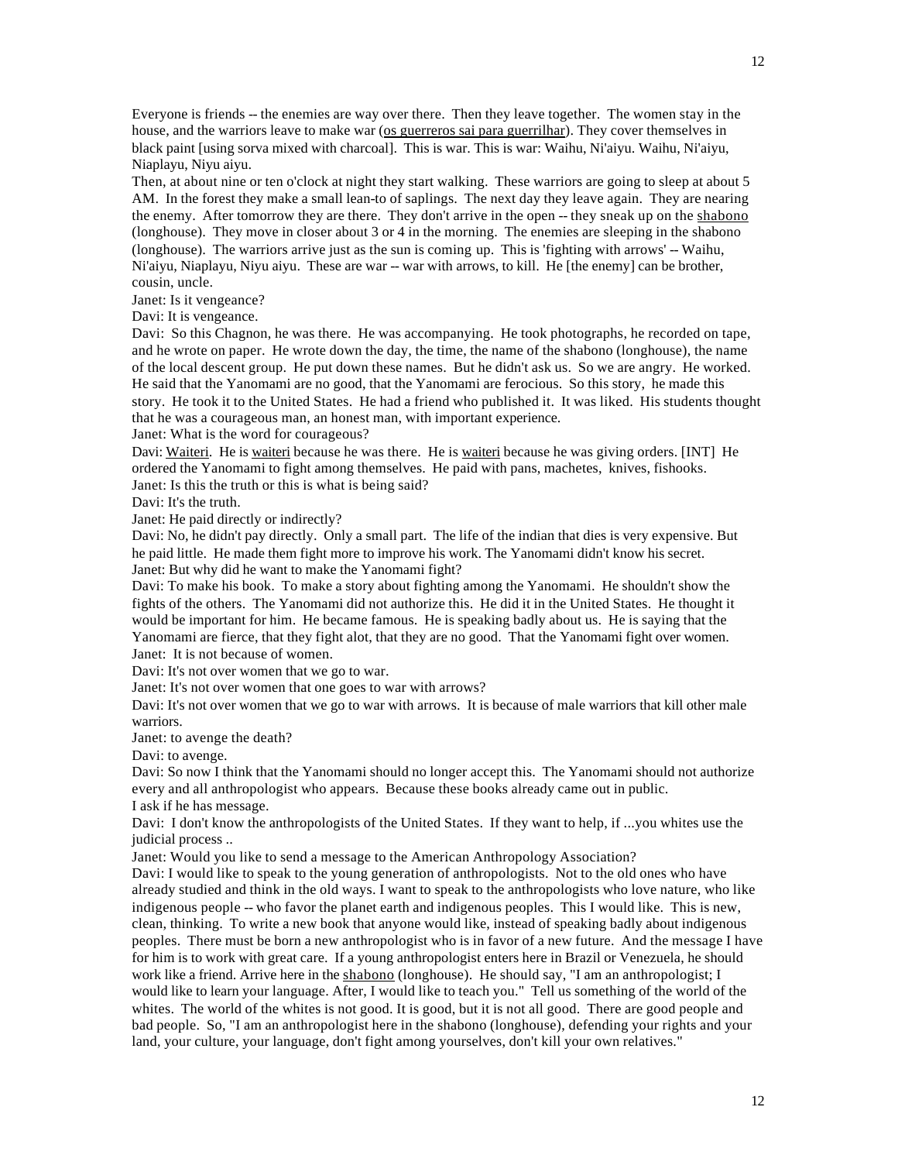Everyone is friends -- the enemies are way over there. Then they leave together. The women stay in the house, and the warriors leave to make war (os guerreros sai para guerrilhar). They cover themselves in black paint [using sorva mixed with charcoal]. This is war. This is war: Waihu, Ni'aiyu. Waihu, Ni'aiyu, Niaplayu, Niyu aiyu.

Then, at about nine or ten o'clock at night they start walking. These warriors are going to sleep at about 5 AM. In the forest they make a small lean-to of saplings. The next day they leave again. They are nearing the enemy. After tomorrow they are there. They don't arrive in the open -- they sneak up on the shabono (longhouse). They move in closer about 3 or 4 in the morning. The enemies are sleeping in the shabono (longhouse). The warriors arrive just as the sun is coming up. This is 'fighting with arrows' -- Waihu, Ni'aiyu, Niaplayu, Niyu aiyu. These are war -- war with arrows, to kill. He [the enemy] can be brother, cousin, uncle.

Janet: Is it vengeance?

Davi: It is vengeance.

Davi: So this Chagnon, he was there. He was accompanying. He took photographs, he recorded on tape, and he wrote on paper. He wrote down the day, the time, the name of the shabono (longhouse), the name of the local descent group. He put down these names. But he didn't ask us. So we are angry. He worked. He said that the Yanomami are no good, that the Yanomami are ferocious. So this story, he made this story. He took it to the United States. He had a friend who published it. It was liked. His students thought that he was a courageous man, an honest man, with important experience.

Janet: What is the word for courageous?

Davi: Waiteri. He is waiteri because he was there. He is waiteri because he was giving orders. [INT] He ordered the Yanomami to fight among themselves. He paid with pans, machetes, knives, fishooks. Janet: Is this the truth or this is what is being said?

Davi: It's the truth.

Janet: He paid directly or indirectly?

Davi: No, he didn't pay directly. Only a small part. The life of the indian that dies is very expensive. But he paid little. He made them fight more to improve his work. The Yanomami didn't know his secret. Janet: But why did he want to make the Yanomami fight?

Davi: To make his book. To make a story about fighting among the Yanomami. He shouldn't show the fights of the others. The Yanomami did not authorize this. He did it in the United States. He thought it would be important for him. He became famous. He is speaking badly about us. He is saying that the Yanomami are fierce, that they fight alot, that they are no good. That the Yanomami fight over women. Janet: It is not because of women.

Davi: It's not over women that we go to war.

Janet: It's not over women that one goes to war with arrows?

Davi: It's not over women that we go to war with arrows. It is because of male warriors that kill other male warriors.

Janet: to avenge the death?

Davi: to avenge.

Davi: So now I think that the Yanomami should no longer accept this. The Yanomami should not authorize every and all anthropologist who appears. Because these books already came out in public. I ask if he has message.

Davi: I don't know the anthropologists of the United States. If they want to help, if ...you whites use the judicial process ..

Janet: Would you like to send a message to the American Anthropology Association?

Davi: I would like to speak to the young generation of anthropologists. Not to the old ones who have already studied and think in the old ways. I want to speak to the anthropologists who love nature, who like indigenous people -- who favor the planet earth and indigenous peoples. This I would like. This is new, clean, thinking. To write a new book that anyone would like, instead of speaking badly about indigenous peoples. There must be born a new anthropologist who is in favor of a new future. And the message I have for him is to work with great care. If a young anthropologist enters here in Brazil or Venezuela, he should work like a friend. Arrive here in the shabono (longhouse). He should say, "I am an anthropologist; I would like to learn your language. After, I would like to teach you." Tell us something of the world of the whites. The world of the whites is not good. It is good, but it is not all good. There are good people and bad people. So, "I am an anthropologist here in the shabono (longhouse), defending your rights and your land, your culture, your language, don't fight among yourselves, don't kill your own relatives."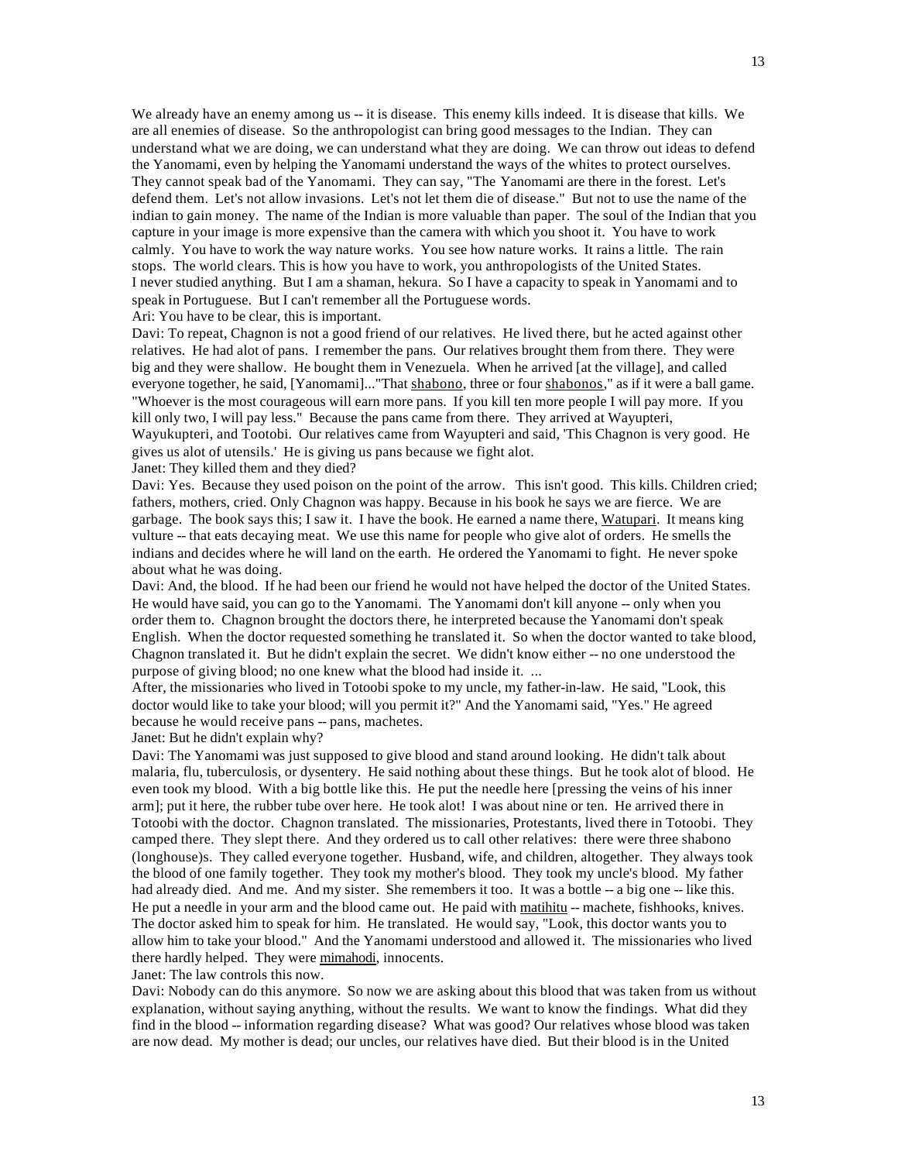We already have an enemy among us -- it is disease. This enemy kills indeed. It is disease that kills. We are all enemies of disease. So the anthropologist can bring good messages to the Indian. They can understand what we are doing, we can understand what they are doing. We can throw out ideas to defend the Yanomami, even by helping the Yanomami understand the ways of the whites to protect ourselves. They cannot speak bad of the Yanomami. They can say, "The Yanomami are there in the forest. Let's defend them. Let's not allow invasions. Let's not let them die of disease." But not to use the name of the indian to gain money. The name of the Indian is more valuable than paper. The soul of the Indian that you capture in your image is more expensive than the camera with which you shoot it. You have to work calmly. You have to work the way nature works. You see how nature works. It rains a little. The rain stops. The world clears. This is how you have to work, you anthropologists of the United States. I never studied anything. But I am a shaman, hekura. So I have a capacity to speak in Yanomami and to speak in Portuguese. But I can't remember all the Portuguese words.

Ari: You have to be clear, this is important.

Davi: To repeat, Chagnon is not a good friend of our relatives. He lived there, but he acted against other relatives. He had alot of pans. I remember the pans. Our relatives brought them from there. They were big and they were shallow. He bought them in Venezuela. When he arrived [at the village], and called everyone together, he said, [Yanomami]..."That shabono, three or four shabonos," as if it were a ball game. "Whoever is the most courageous will earn more pans. If you kill ten more people I will pay more. If you kill only two, I will pay less." Because the pans came from there. They arrived at Wayupteri, Wayukupteri, and Tootobi. Our relatives came from Wayupteri and said, 'This Chagnon is very good. He gives us alot of utensils.' He is giving us pans because we fight alot.

Janet: They killed them and they died?

Davi: Yes. Because they used poison on the point of the arrow. This isn't good. This kills. Children cried; fathers, mothers, cried. Only Chagnon was happy. Because in his book he says we are fierce. We are garbage. The book says this; I saw it. I have the book. He earned a name there, Watupari. It means king vulture -- that eats decaying meat. We use this name for people who give alot of orders. He smells the indians and decides where he will land on the earth. He ordered the Yanomami to fight. He never spoke about what he was doing.

Davi: And, the blood. If he had been our friend he would not have helped the doctor of the United States. He would have said, you can go to the Yanomami. The Yanomami don't kill anyone -- only when you order them to. Chagnon brought the doctors there, he interpreted because the Yanomami don't speak English. When the doctor requested something he translated it. So when the doctor wanted to take blood, Chagnon translated it. But he didn't explain the secret. We didn't know either -- no one understood the purpose of giving blood; no one knew what the blood had inside it. ...

After, the missionaries who lived in Totoobi spoke to my uncle, my father-in-law. He said, "Look, this doctor would like to take your blood; will you permit it?" And the Yanomami said, "Yes." He agreed because he would receive pans -- pans, machetes.

Janet: But he didn't explain why?

Davi: The Yanomami was just supposed to give blood and stand around looking. He didn't talk about malaria, flu, tuberculosis, or dysentery. He said nothing about these things. But he took alot of blood. He even took my blood. With a big bottle like this. He put the needle here [pressing the veins of his inner arm]; put it here, the rubber tube over here. He took alot! I was about nine or ten. He arrived there in Totoobi with the doctor. Chagnon translated. The missionaries, Protestants, lived there in Totoobi. They camped there. They slept there. And they ordered us to call other relatives: there were three shabono (longhouse)s. They called everyone together. Husband, wife, and children, altogether. They always took the blood of one family together. They took my mother's blood. They took my uncle's blood. My father had already died. And me. And my sister. She remembers it too. It was a bottle -- a big one -- like this. He put a needle in your arm and the blood came out. He paid with matihitu -- machete, fishhooks, knives. The doctor asked him to speak for him. He translated. He would say, "Look, this doctor wants you to allow him to take your blood." And the Yanomami understood and allowed it. The missionaries who lived there hardly helped. They were mimahodi, innocents.

Janet: The law controls this now.

Davi: Nobody can do this anymore. So now we are asking about this blood that was taken from us without explanation, without saying anything, without the results. We want to know the findings. What did they find in the blood -- information regarding disease? What was good? Our relatives whose blood was taken are now dead. My mother is dead; our uncles, our relatives have died. But their blood is in the United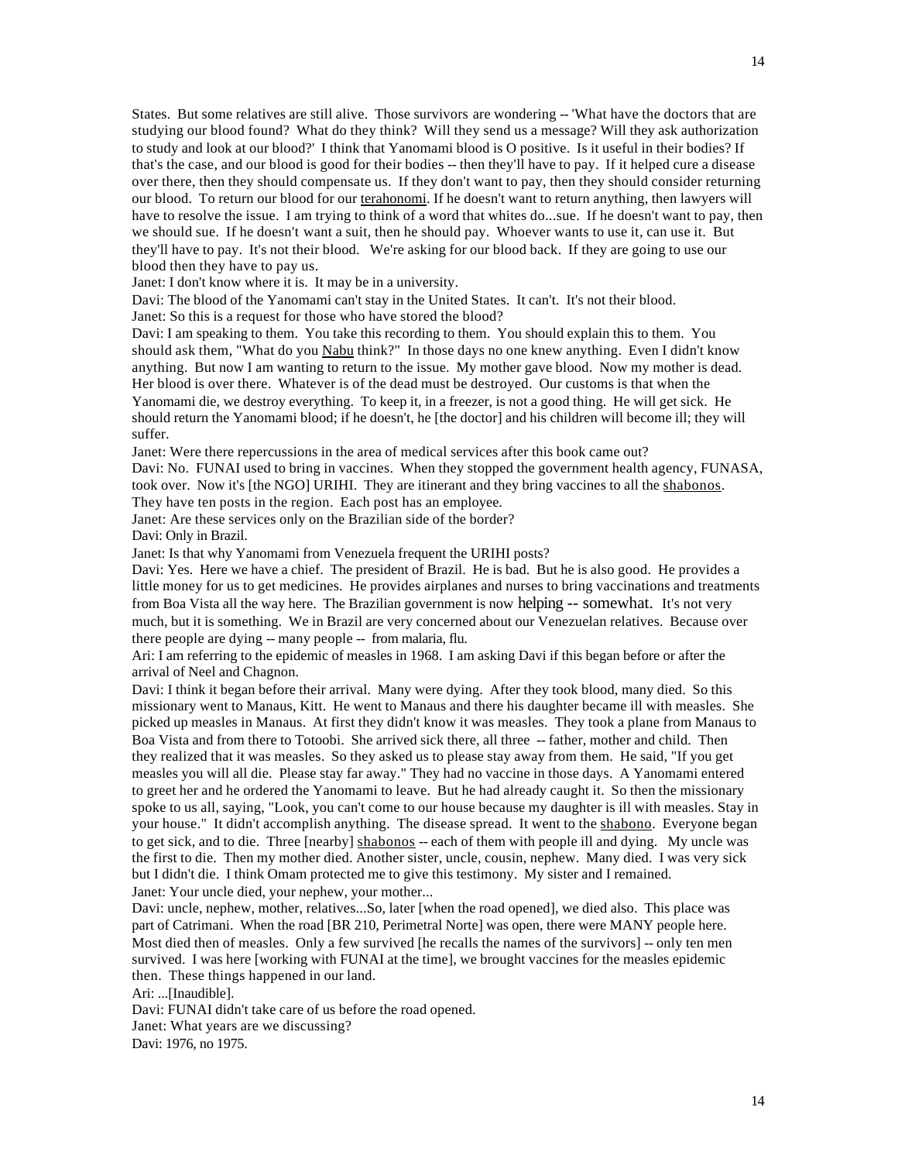States. But some relatives are still alive. Those survivors are wondering -- 'What have the doctors that are studying our blood found? What do they think? Will they send us a message? Will they ask authorization to study and look at our blood?' I think that Yanomami blood is O positive. Is it useful in their bodies? If that's the case, and our blood is good for their bodies -- then they'll have to pay. If it helped cure a disease over there, then they should compensate us. If they don't want to pay, then they should consider returning our blood. To return our blood for our terahonomi. If he doesn't want to return anything, then lawyers will have to resolve the issue. I am trying to think of a word that whites do...sue. If he doesn't want to pay, then we should sue. If he doesn't want a suit, then he should pay. Whoever wants to use it, can use it. But they'll have to pay. It's not their blood. We're asking for our blood back. If they are going to use our blood then they have to pay us.

Janet: I don't know where it is. It may be in a university.

Davi: The blood of the Yanomami can't stay in the United States. It can't. It's not their blood. Janet: So this is a request for those who have stored the blood?

Davi: I am speaking to them. You take this recording to them. You should explain this to them. You should ask them, "What do you Nabu think?" In those days no one knew anything. Even I didn't know anything. But now I am wanting to return to the issue. My mother gave blood. Now my mother is dead. Her blood is over there. Whatever is of the dead must be destroyed. Our customs is that when the Yanomami die, we destroy everything. To keep it, in a freezer, is not a good thing. He will get sick. He should return the Yanomami blood; if he doesn't, he [the doctor] and his children will become ill; they will suffer.

Janet: Were there repercussions in the area of medical services after this book came out?

Davi: No. FUNAI used to bring in vaccines. When they stopped the government health agency, FUNASA, took over. Now it's [the NGO] URIHI. They are itinerant and they bring vaccines to all the shabonos. They have ten posts in the region. Each post has an employee.

Janet: Are these services only on the Brazilian side of the border?

Davi: Only in Brazil.

Janet: Is that why Yanomami from Venezuela frequent the URIHI posts?

Davi: Yes. Here we have a chief. The president of Brazil. He is bad. But he is also good. He provides a little money for us to get medicines. He provides airplanes and nurses to bring vaccinations and treatments from Boa Vista all the way here. The Brazilian government is now helping -- somewhat. It's not very much, but it is something. We in Brazil are very concerned about our Venezuelan relatives. Because over there people are dying -- many people -- from malaria, flu.

Ari: I am referring to the epidemic of measles in 1968. I am asking Davi if this began before or after the arrival of Neel and Chagnon.

Davi: I think it began before their arrival. Many were dying. After they took blood, many died. So this missionary went to Manaus, Kitt. He went to Manaus and there his daughter became ill with measles. She picked up measles in Manaus. At first they didn't know it was measles. They took a plane from Manaus to Boa Vista and from there to Totoobi. She arrived sick there, all three -- father, mother and child. Then they realized that it was measles. So they asked us to please stay away from them. He said, "If you get measles you will all die. Please stay far away." They had no vaccine in those days. A Yanomami entered to greet her and he ordered the Yanomami to leave. But he had already caught it. So then the missionary spoke to us all, saying, "Look, you can't come to our house because my daughter is ill with measles. Stay in your house." It didn't accomplish anything. The disease spread. It went to the shabono. Everyone began to get sick, and to die. Three [nearby] shabonos -- each of them with people ill and dying. My uncle was the first to die. Then my mother died. Another sister, uncle, cousin, nephew. Many died. I was very sick but I didn't die. I think Omam protected me to give this testimony. My sister and I remained. Janet: Your uncle died, your nephew, your mother...

Davi: uncle, nephew, mother, relatives...So, later [when the road opened], we died also. This place was part of Catrimani. When the road [BR 210, Perimetral Norte] was open, there were MANY people here. Most died then of measles. Only a few survived [he recalls the names of the survivors] -- only ten men survived. I was here [working with FUNAI at the time], we brought vaccines for the measles epidemic then. These things happened in our land.

Ari: ...[Inaudible].

Davi: FUNAI didn't take care of us before the road opened.

Janet: What years are we discussing?

Davi: 1976, no 1975.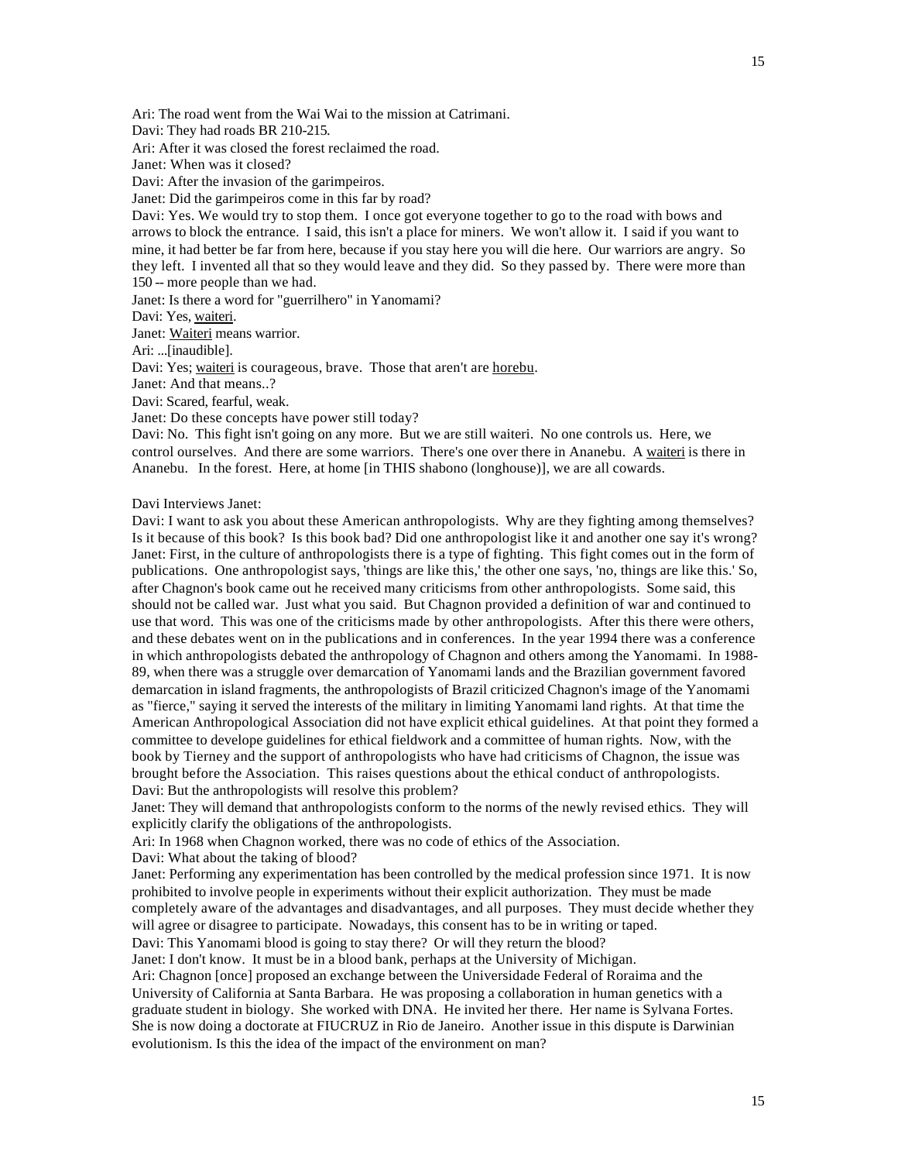Ari: The road went from the Wai Wai to the mission at Catrimani.

Davi: They had roads BR 210-215.

Ari: After it was closed the forest reclaimed the road.

Janet: When was it closed?

Davi: After the invasion of the garimpeiros.

Janet: Did the garimpeiros come in this far by road?

Davi: Yes. We would try to stop them. I once got everyone together to go to the road with bows and arrows to block the entrance. I said, this isn't a place for miners. We won't allow it. I said if you want to mine, it had better be far from here, because if you stay here you will die here. Our warriors are angry. So they left. I invented all that so they would leave and they did. So they passed by. There were more than 150 -- more people than we had.

Janet: Is there a word for "guerrilhero" in Yanomami?

Davi: Yes, waiteri.

Janet: Waiteri means warrior.

Ari: ...[inaudible].

Davi: Yes; waiteri is courageous, brave. Those that aren't are horebu.

Janet: And that means..?

Davi: Scared, fearful, weak.

Janet: Do these concepts have power still today?

Davi: No. This fight isn't going on any more. But we are still waiteri. No one controls us. Here, we control ourselves. And there are some warriors. There's one over there in Ananebu. A waiteri is there in Ananebu. In the forest. Here, at home [in THIS shabono (longhouse)], we are all cowards.

Davi Interviews Janet:

Davi: I want to ask you about these American anthropologists. Why are they fighting among themselves? Is it because of this book? Is this book bad? Did one anthropologist like it and another one say it's wrong? Janet: First, in the culture of anthropologists there is a type of fighting. This fight comes out in the form of publications. One anthropologist says, 'things are like this,' the other one says, 'no, things are like this.' So, after Chagnon's book came out he received many criticisms from other anthropologists. Some said, this should not be called war. Just what you said. But Chagnon provided a definition of war and continued to use that word. This was one of the criticisms made by other anthropologists. After this there were others, and these debates went on in the publications and in conferences. In the year 1994 there was a conference in which anthropologists debated the anthropology of Chagnon and others among the Yanomami. In 1988- 89, when there was a struggle over demarcation of Yanomami lands and the Brazilian government favored demarcation in island fragments, the anthropologists of Brazil criticized Chagnon's image of the Yanomami as "fierce," saying it served the interests of the military in limiting Yanomami land rights. At that time the American Anthropological Association did not have explicit ethical guidelines. At that point they formed a committee to develope guidelines for ethical fieldwork and a committee of human rights. Now, with the book by Tierney and the support of anthropologists who have had criticisms of Chagnon, the issue was brought before the Association. This raises questions about the ethical conduct of anthropologists. Davi: But the anthropologists will resolve this problem?

Janet: They will demand that anthropologists conform to the norms of the newly revised ethics. They will explicitly clarify the obligations of the anthropologists.

Ari: In 1968 when Chagnon worked, there was no code of ethics of the Association.

Davi: What about the taking of blood?

Janet: Performing any experimentation has been controlled by the medical profession since 1971. It is now prohibited to involve people in experiments without their explicit authorization. They must be made completely aware of the advantages and disadvantages, and all purposes. They must decide whether they will agree or disagree to participate. Nowadays, this consent has to be in writing or taped.

Davi: This Yanomami blood is going to stay there? Or will they return the blood?

Janet: I don't know. It must be in a blood bank, perhaps at the University of Michigan.

Ari: Chagnon [once] proposed an exchange between the Universidade Federal of Roraima and the University of California at Santa Barbara. He was proposing a collaboration in human genetics with a graduate student in biology. She worked with DNA. He invited her there. Her name is Sylvana Fortes. She is now doing a doctorate at FIUCRUZ in Rio de Janeiro. Another issue in this dispute is Darwinian evolutionism. Is this the idea of the impact of the environment on man?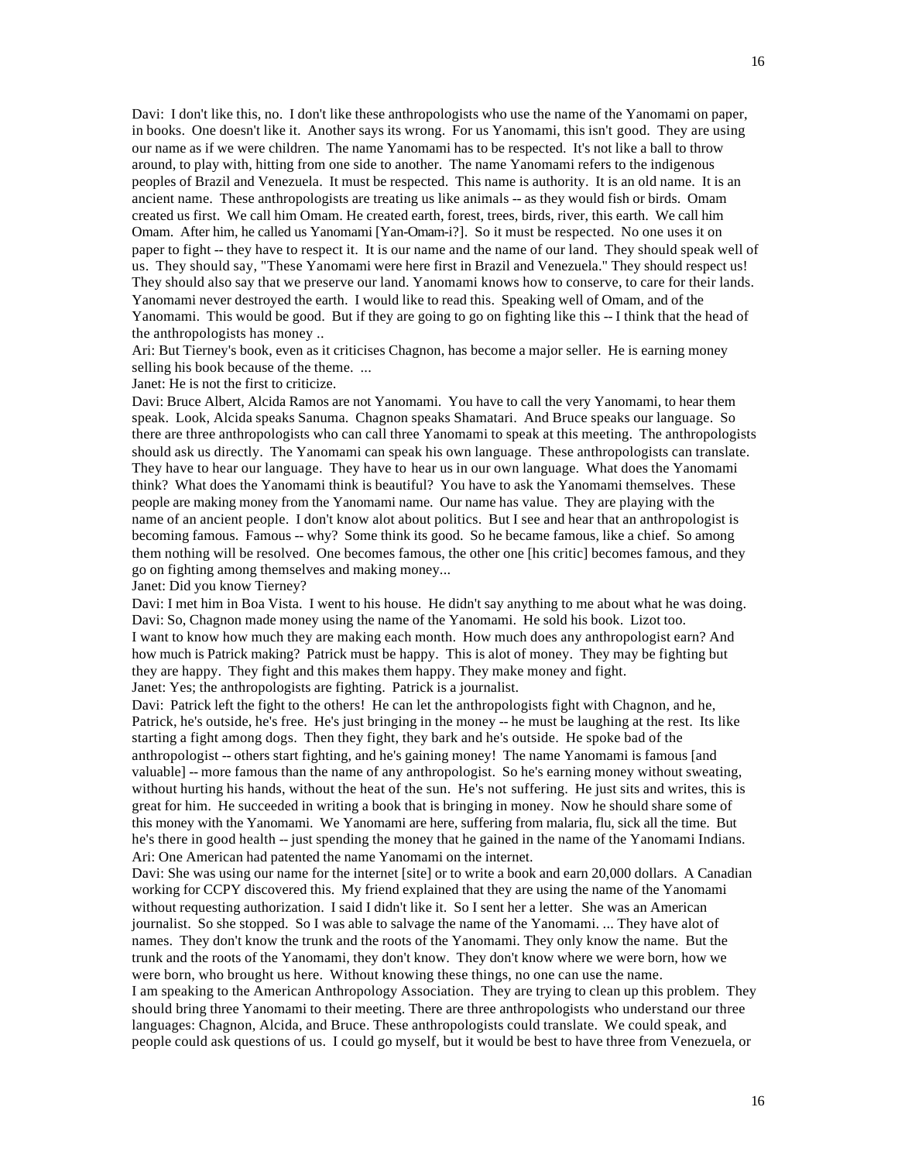Davi: I don't like this, no. I don't like these anthropologists who use the name of the Yanomami on paper, in books. One doesn't like it. Another says its wrong. For us Yanomami, this isn't good. They are using our name as if we were children. The name Yanomami has to be respected. It's not like a ball to throw around, to play with, hitting from one side to another. The name Yanomami refers to the indigenous peoples of Brazil and Venezuela. It must be respected. This name is authority. It is an old name. It is an ancient name. These anthropologists are treating us like animals -- as they would fish or birds. Omam created us first. We call him Omam. He created earth, forest, trees, birds, river, this earth. We call him Omam. After him, he called us Yanomami [Yan-Omam-i?]. So it must be respected. No one uses it on paper to fight -- they have to respect it. It is our name and the name of our land. They should speak well of us. They should say, "These Yanomami were here first in Brazil and Venezuela." They should respect us! They should also say that we preserve our land. Yanomami knows how to conserve, to care for their lands. Yanomami never destroyed the earth. I would like to read this. Speaking well of Omam, and of the Yanomami. This would be good. But if they are going to go on fighting like this -- I think that the head of the anthropologists has money ..

Ari: But Tierney's book, even as it criticises Chagnon, has become a major seller. He is earning money selling his book because of the theme. ...

Janet: He is not the first to criticize.

Davi: Bruce Albert, Alcida Ramos are not Yanomami. You have to call the very Yanomami, to hear them speak. Look, Alcida speaks Sanuma. Chagnon speaks Shamatari. And Bruce speaks our language. So there are three anthropologists who can call three Yanomami to speak at this meeting. The anthropologists should ask us directly. The Yanomami can speak his own language. These anthropologists can translate. They have to hear our language. They have to hear us in our own language. What does the Yanomami think? What does the Yanomami think is beautiful? You have to ask the Yanomami themselves. These people are making money from the Yanomami name. Our name has value. They are playing with the name of an ancient people. I don't know alot about politics. But I see and hear that an anthropologist is becoming famous. Famous -- why? Some think its good. So he became famous, like a chief. So among them nothing will be resolved. One becomes famous, the other one [his critic] becomes famous, and they go on fighting among themselves and making money...

Janet: Did you know Tierney?

Davi: I met him in Boa Vista. I went to his house. He didn't say anything to me about what he was doing. Davi: So, Chagnon made money using the name of the Yanomami. He sold his book. Lizot too. I want to know how much they are making each month. How much does any anthropologist earn? And how much is Patrick making? Patrick must be happy. This is alot of money. They may be fighting but they are happy. They fight and this makes them happy. They make money and fight. Janet: Yes; the anthropologists are fighting. Patrick is a journalist.

Davi: Patrick left the fight to the others! He can let the anthropologists fight with Chagnon, and he, Patrick, he's outside, he's free. He's just bringing in the money -- he must be laughing at the rest. Its like starting a fight among dogs. Then they fight, they bark and he's outside. He spoke bad of the anthropologist -- others start fighting, and he's gaining money! The name Yanomami is famous [and valuable] -- more famous than the name of any anthropologist. So he's earning money without sweating, without hurting his hands, without the heat of the sun. He's not suffering. He just sits and writes, this is great for him. He succeeded in writing a book that is bringing in money. Now he should share some of this money with the Yanomami. We Yanomami are here, suffering from malaria, flu, sick all the time. But he's there in good health -- just spending the money that he gained in the name of the Yanomami Indians. Ari: One American had patented the name Yanomami on the internet.

Davi: She was using our name for the internet [site] or to write a book and earn 20,000 dollars. A Canadian working for CCPY discovered this. My friend explained that they are using the name of the Yanomami without requesting authorization. I said I didn't like it. So I sent her a letter. She was an American journalist. So she stopped. So I was able to salvage the name of the Yanomami. ... They have alot of names. They don't know the trunk and the roots of the Yanomami. They only know the name. But the trunk and the roots of the Yanomami, they don't know. They don't know where we were born, how we were born, who brought us here. Without knowing these things, no one can use the name.

I am speaking to the American Anthropology Association. They are trying to clean up this problem. They should bring three Yanomami to their meeting. There are three anthropologists who understand our three languages: Chagnon, Alcida, and Bruce. These anthropologists could translate. We could speak, and people could ask questions of us. I could go myself, but it would be best to have three from Venezuela, or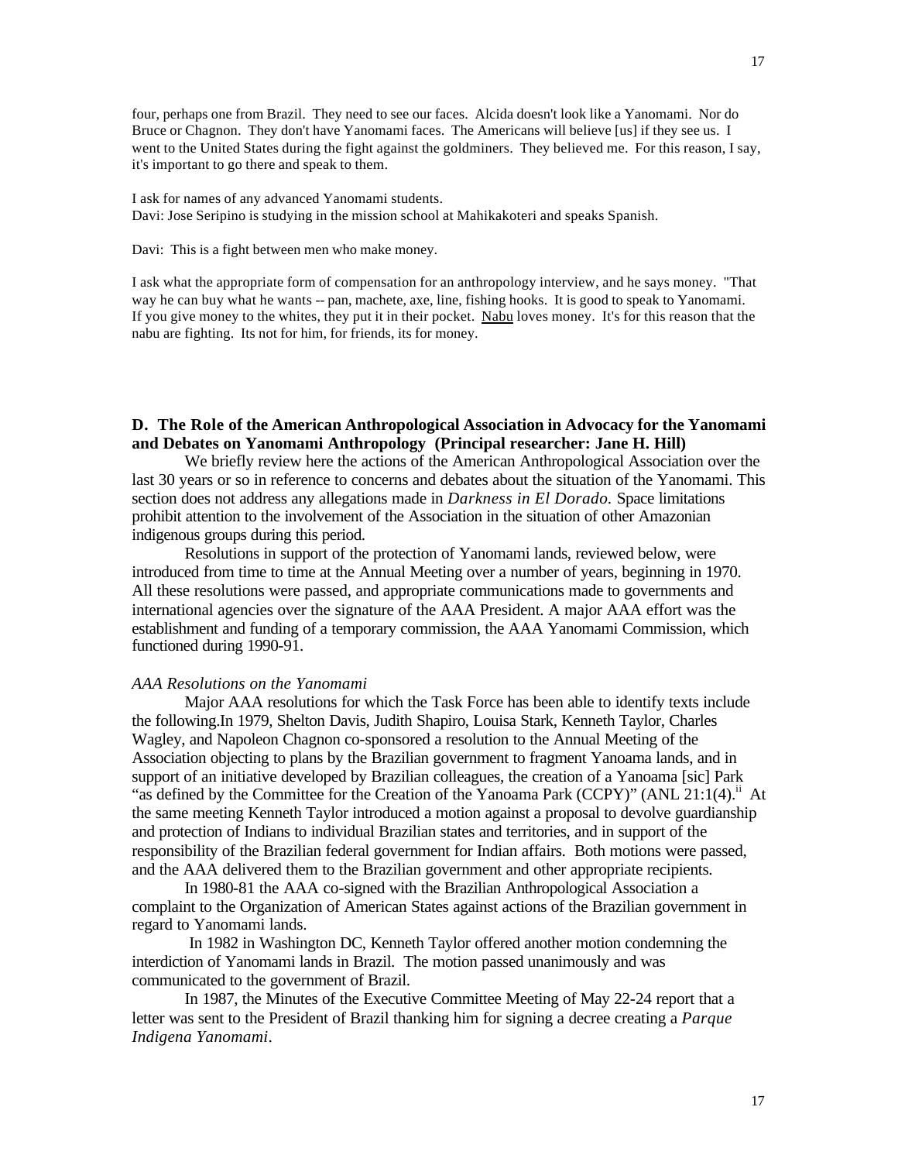four, perhaps one from Brazil. They need to see our faces. Alcida doesn't look like a Yanomami. Nor do Bruce or Chagnon. They don't have Yanomami faces. The Americans will believe [us] if they see us. I went to the United States during the fight against the goldminers. They believed me. For this reason, I say, it's important to go there and speak to them.

I ask for names of any advanced Yanomami students. Davi: Jose Seripino is studying in the mission school at Mahikakoteri and speaks Spanish.

Davi: This is a fight between men who make money.

I ask what the appropriate form of compensation for an anthropology interview, and he says money. "That way he can buy what he wants -- pan, machete, axe, line, fishing hooks. It is good to speak to Yanomami. If you give money to the whites, they put it in their pocket. Nabu loves money. It's for this reason that the nabu are fighting. Its not for him, for friends, its for money.

# **D. The Role of the American Anthropological Association in Advocacy for the Yanomami and Debates on Yanomami Anthropology (Principal researcher: Jane H. Hill)**

We briefly review here the actions of the American Anthropological Association over the last 30 years or so in reference to concerns and debates about the situation of the Yanomami. This section does not address any allegations made in *Darkness in El Dorado.* Space limitations prohibit attention to the involvement of the Association in the situation of other Amazonian indigenous groups during this period.

Resolutions in support of the protection of Yanomami lands, reviewed below, were introduced from time to time at the Annual Meeting over a number of years, beginning in 1970. All these resolutions were passed, and appropriate communications made to governments and international agencies over the signature of the AAA President. A major AAA effort was the establishment and funding of a temporary commission, the AAA Yanomami Commission, which functioned during 1990-91.

## *AAA Resolutions on the Yanomami*

Major AAA resolutions for which the Task Force has been able to identify texts include the following.In 1979, Shelton Davis, Judith Shapiro, Louisa Stark, Kenneth Taylor, Charles Wagley, and Napoleon Chagnon co-sponsored a resolution to the Annual Meeting of the Association objecting to plans by the Brazilian government to fragment Yanoama lands, and in support of an initiative developed by Brazilian colleagues, the creation of a Yanoama [sic] Park "as defined by the Committee for the Creation of the Yanoama Park (CCPY)" (ANL 21:1(4). $\mu$  At the same meeting Kenneth Taylor introduced a motion against a proposal to devolve guardianship and protection of Indians to individual Brazilian states and territories, and in support of the responsibility of the Brazilian federal government for Indian affairs. Both motions were passed, and the AAA delivered them to the Brazilian government and other appropriate recipients.

In 1980-81 the AAA co-signed with the Brazilian Anthropological Association a complaint to the Organization of American States against actions of the Brazilian government in regard to Yanomami lands.

 In 1982 in Washington DC, Kenneth Taylor offered another motion condemning the interdiction of Yanomami lands in Brazil. The motion passed unanimously and was communicated to the government of Brazil.

In 1987, the Minutes of the Executive Committee Meeting of May 22-24 report that a letter was sent to the President of Brazil thanking him for signing a decree creating a *Parque Indigena Yanomami*.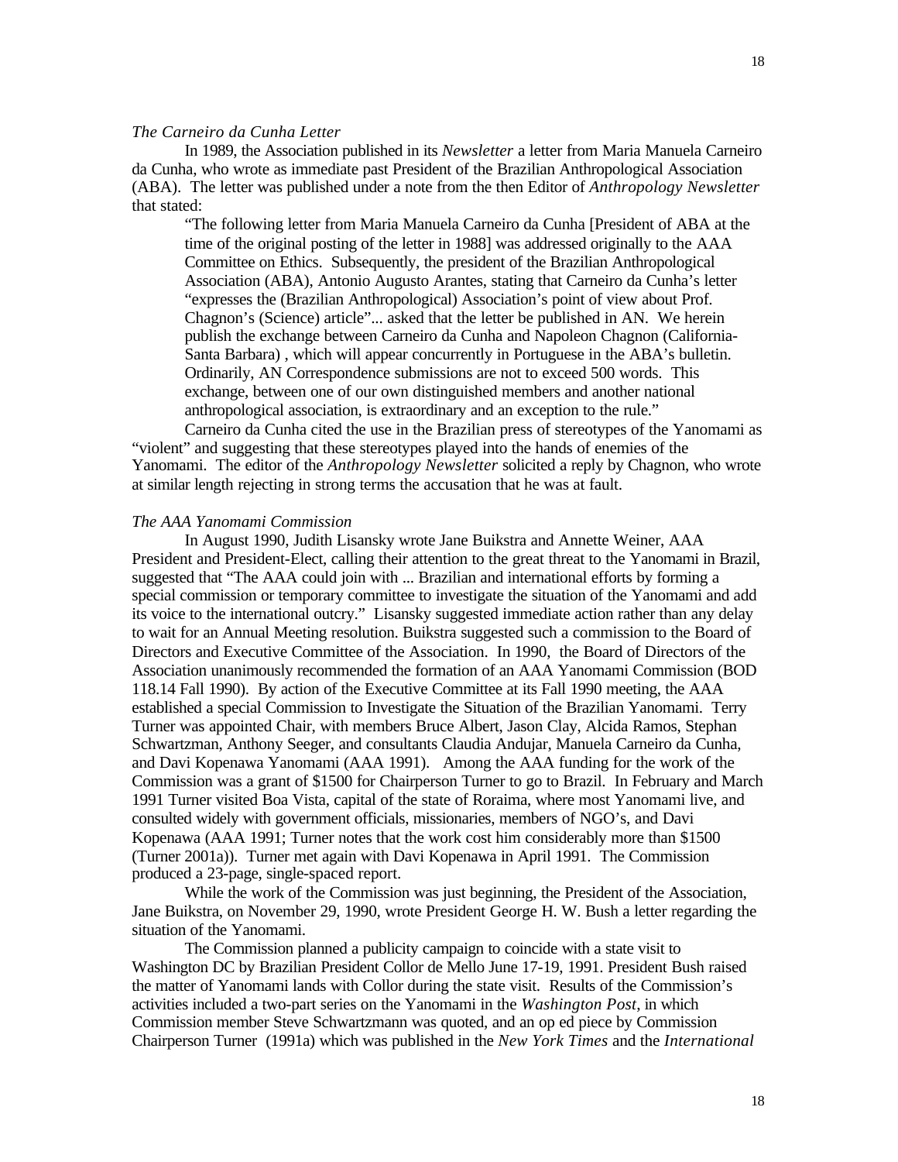## *The Carneiro da Cunha Letter*

In 1989, the Association published in its *Newsletter* a letter from Maria Manuela Carneiro da Cunha, who wrote as immediate past President of the Brazilian Anthropological Association (ABA). The letter was published under a note from the then Editor of *Anthropology Newsletter* that stated:

"The following letter from Maria Manuela Carneiro da Cunha [President of ABA at the time of the original posting of the letter in 1988] was addressed originally to the AAA Committee on Ethics. Subsequently, the president of the Brazilian Anthropological Association (ABA), Antonio Augusto Arantes, stating that Carneiro da Cunha's letter "expresses the (Brazilian Anthropological) Association's point of view about Prof. Chagnon's (Science) article"... asked that the letter be published in AN. We herein publish the exchange between Carneiro da Cunha and Napoleon Chagnon (California-Santa Barbara) , which will appear concurrently in Portuguese in the ABA's bulletin. Ordinarily, AN Correspondence submissions are not to exceed 500 words. This exchange, between one of our own distinguished members and another national anthropological association, is extraordinary and an exception to the rule."

Carneiro da Cunha cited the use in the Brazilian press of stereotypes of the Yanomami as "violent" and suggesting that these stereotypes played into the hands of enemies of the Yanomami. The editor of the *Anthropology Newsletter* solicited a reply by Chagnon, who wrote at similar length rejecting in strong terms the accusation that he was at fault.

## *The AAA Yanomami Commission*

In August 1990, Judith Lisansky wrote Jane Buikstra and Annette Weiner, AAA President and President-Elect, calling their attention to the great threat to the Yanomami in Brazil, suggested that "The AAA could join with ... Brazilian and international efforts by forming a special commission or temporary committee to investigate the situation of the Yanomami and add its voice to the international outcry." Lisansky suggested immediate action rather than any delay to wait for an Annual Meeting resolution. Buikstra suggested such a commission to the Board of Directors and Executive Committee of the Association. In 1990, the Board of Directors of the Association unanimously recommended the formation of an AAA Yanomami Commission (BOD 118.14 Fall 1990). By action of the Executive Committee at its Fall 1990 meeting, the AAA established a special Commission to Investigate the Situation of the Brazilian Yanomami. Terry Turner was appointed Chair, with members Bruce Albert, Jason Clay, Alcida Ramos, Stephan Schwartzman, Anthony Seeger, and consultants Claudia Andujar, Manuela Carneiro da Cunha, and Davi Kopenawa Yanomami (AAA 1991). Among the AAA funding for the work of the Commission was a grant of \$1500 for Chairperson Turner to go to Brazil. In February and March 1991 Turner visited Boa Vista, capital of the state of Roraima, where most Yanomami live, and consulted widely with government officials, missionaries, members of NGO's, and Davi Kopenawa (AAA 1991; Turner notes that the work cost him considerably more than \$1500 (Turner 2001a)). Turner met again with Davi Kopenawa in April 1991. The Commission produced a 23-page, single-spaced report.

While the work of the Commission was just beginning, the President of the Association, Jane Buikstra, on November 29, 1990, wrote President George H. W. Bush a letter regarding the situation of the Yanomami.

The Commission planned a publicity campaign to coincide with a state visit to Washington DC by Brazilian President Collor de Mello June 17-19, 1991. President Bush raised the matter of Yanomami lands with Collor during the state visit. Results of the Commission's activities included a two-part series on the Yanomami in the *Washington Post*, in which Commission member Steve Schwartzmann was quoted, and an op ed piece by Commission Chairperson Turner (1991a) which was published in the *New York Times* and the *International*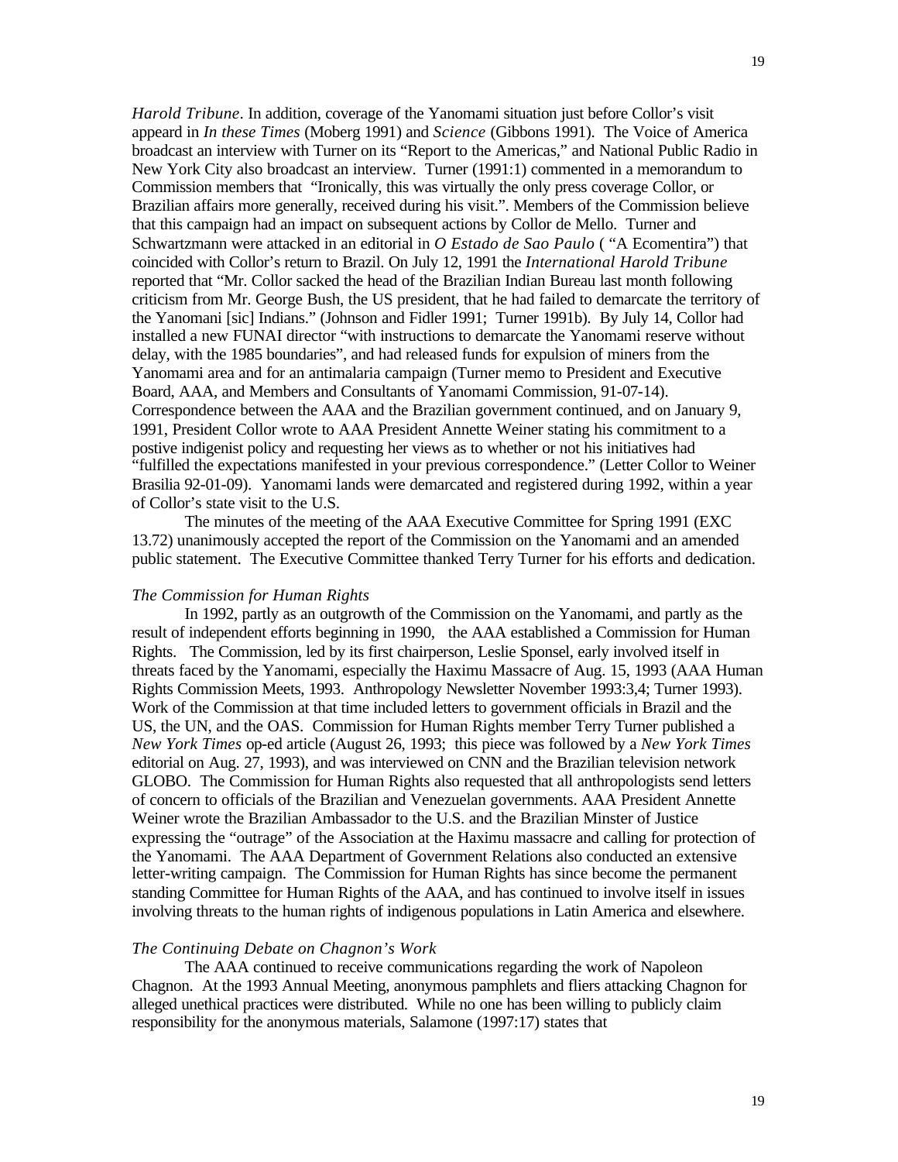*Harold Tribune*. In addition, coverage of the Yanomami situation just before Collor's visit appeard in *In these Times* (Moberg 1991) and *Science* (Gibbons 1991). The Voice of America broadcast an interview with Turner on its "Report to the Americas," and National Public Radio in New York City also broadcast an interview. Turner (1991:1) commented in a memorandum to Commission members that "Ironically, this was virtually the only press coverage Collor, or Brazilian affairs more generally, received during his visit.". Members of the Commission believe that this campaign had an impact on subsequent actions by Collor de Mello. Turner and Schwartzmann were attacked in an editorial in *O Estado de Sao Paulo* ( "A Ecomentira") that coincided with Collor's return to Brazil. On July 12, 1991 the *International Harold Tribune* reported that "Mr. Collor sacked the head of the Brazilian Indian Bureau last month following criticism from Mr. George Bush, the US president, that he had failed to demarcate the territory of the Yanomani [sic] Indians." (Johnson and Fidler 1991; Turner 1991b). By July 14, Collor had installed a new FUNAI director "with instructions to demarcate the Yanomami reserve without delay, with the 1985 boundaries", and had released funds for expulsion of miners from the Yanomami area and for an antimalaria campaign (Turner memo to President and Executive Board, AAA, and Members and Consultants of Yanomami Commission, 91-07-14). Correspondence between the AAA and the Brazilian government continued, and on January 9, 1991, President Collor wrote to AAA President Annette Weiner stating his commitment to a postive indigenist policy and requesting her views as to whether or not his initiatives had "fulfilled the expectations manifested in your previous correspondence." (Letter Collor to Weiner Brasilia 92-01-09). Yanomami lands were demarcated and registered during 1992, within a year of Collor's state visit to the U.S.

The minutes of the meeting of the AAA Executive Committee for Spring 1991 (EXC 13.72) unanimously accepted the report of the Commission on the Yanomami and an amended public statement. The Executive Committee thanked Terry Turner for his efforts and dedication.

# *The Commission for Human Rights*

In 1992, partly as an outgrowth of the Commission on the Yanomami, and partly as the result of independent efforts beginning in 1990, the AAA established a Commission for Human Rights. The Commission, led by its first chairperson, Leslie Sponsel, early involved itself in threats faced by the Yanomami, especially the Haximu Massacre of Aug. 15, 1993 (AAA Human Rights Commission Meets, 1993. Anthropology Newsletter November 1993:3,4; Turner 1993). Work of the Commission at that time included letters to government officials in Brazil and the US, the UN, and the OAS. Commission for Human Rights member Terry Turner published a *New York Times* op-ed article (August 26, 1993; this piece was followed by a *New York Times*  editorial on Aug. 27, 1993), and was interviewed on CNN and the Brazilian television network GLOBO. The Commission for Human Rights also requested that all anthropologists send letters of concern to officials of the Brazilian and Venezuelan governments. AAA President Annette Weiner wrote the Brazilian Ambassador to the U.S. and the Brazilian Minster of Justice expressing the "outrage" of the Association at the Haximu massacre and calling for protection of the Yanomami. The AAA Department of Government Relations also conducted an extensive letter-writing campaign. The Commission for Human Rights has since become the permanent standing Committee for Human Rights of the AAA, and has continued to involve itself in issues involving threats to the human rights of indigenous populations in Latin America and elsewhere.

# *The Continuing Debate on Chagnon's Work*

The AAA continued to receive communications regarding the work of Napoleon Chagnon. At the 1993 Annual Meeting, anonymous pamphlets and fliers attacking Chagnon for alleged unethical practices were distributed. While no one has been willing to publicly claim responsibility for the anonymous materials, Salamone (1997:17) states that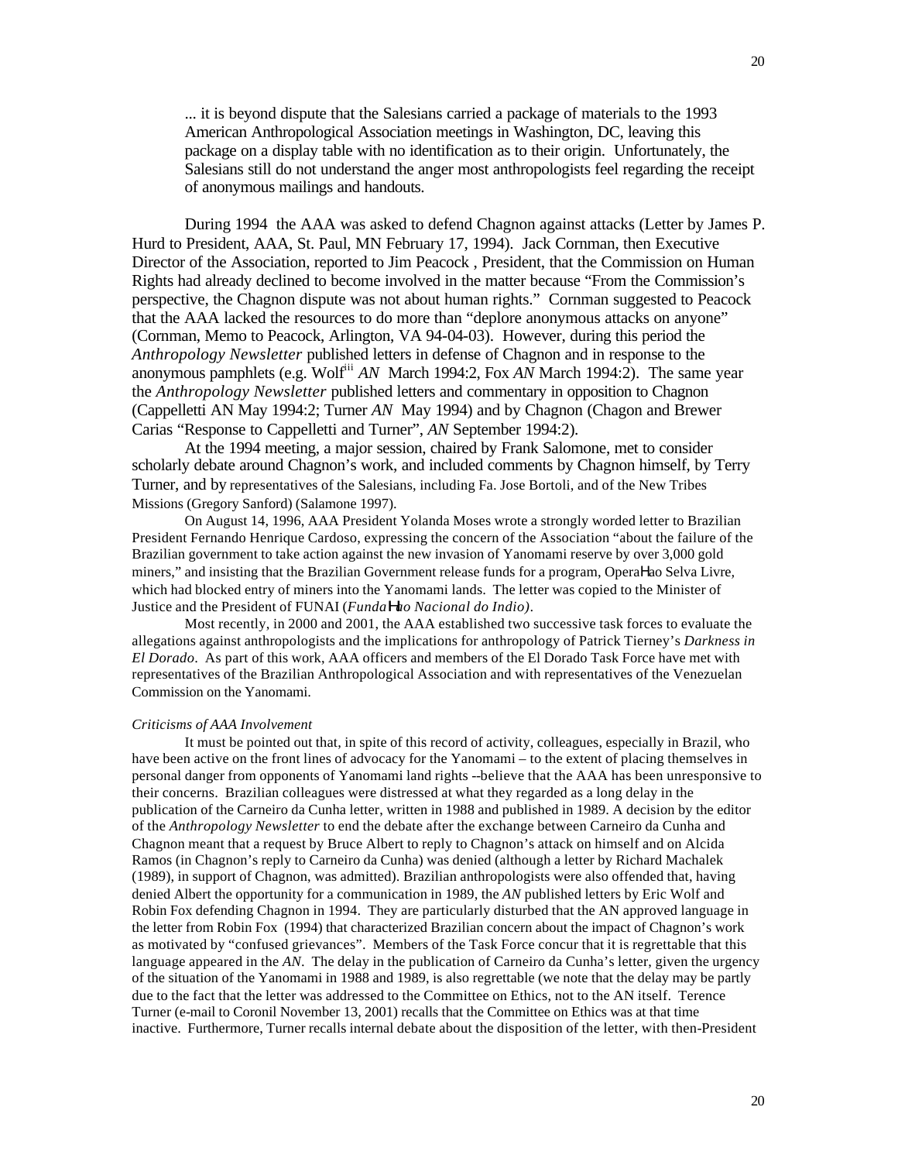... it is beyond dispute that the Salesians carried a package of materials to the 1993 American Anthropological Association meetings in Washington, DC, leaving this package on a display table with no identification as to their origin. Unfortunately, the Salesians still do not understand the anger most anthropologists feel regarding the receipt of anonymous mailings and handouts.

During 1994 the AAA was asked to defend Chagnon against attacks (Letter by James P. Hurd to President, AAA, St. Paul, MN February 17, 1994). Jack Cornman, then Executive Director of the Association, reported to Jim Peacock , President, that the Commission on Human Rights had already declined to become involved in the matter because "From the Commission's perspective, the Chagnon dispute was not about human rights." Cornman suggested to Peacock that the AAA lacked the resources to do more than "deplore anonymous attacks on anyone" (Cornman, Memo to Peacock, Arlington, VA 94-04-03). However, during this period the *Anthropology Newsletter* published letters in defense of Chagnon and in response to the anonymous pamphlets (e.g. Wolf<sup>iii</sup> *AN* March 1994:2, Fox *AN* March 1994:2). The same year the *Anthropology Newsletter* published letters and commentary in opposition to Chagnon (Cappelletti AN May 1994:2; Turner *AN* May 1994) and by Chagnon (Chagon and Brewer Carias "Response to Cappelletti and Turner", *AN* September 1994:2).

At the 1994 meeting, a major session, chaired by Frank Salomone, met to consider scholarly debate around Chagnon's work, and included comments by Chagnon himself, by Terry Turner, and by representatives of the Salesians, including Fa. Jose Bortoli, and of the New Tribes Missions (Gregory Sanford) (Salamone 1997).

On August 14, 1996, AAA President Yolanda Moses wrote a strongly worded letter to Brazilian President Fernando Henrique Cardoso, expressing the concern of the Association "about the failure of the Brazilian government to take action against the new invasion of Yanomami reserve by over 3,000 gold miners," and insisting that the Brazilian Government release funds for a program, OperaΗao Selva Livre*,*  which had blocked entry of miners into the Yanomami lands. The letter was copied to the Minister of Justice and the President of FUNAI (*FundaHao Nacional do Indio)*.

Most recently, in 2000 and 2001, the AAA established two successive task forces to evaluate the allegations against anthropologists and the implications for anthropology of Patrick Tierney's *Darkness in El Dorado*. As part of this work, AAA officers and members of the El Dorado Task Force have met with representatives of the Brazilian Anthropological Association and with representatives of the Venezuelan Commission on the Yanomami.

## *Criticisms of AAA Involvement*

It must be pointed out that, in spite of this record of activity, colleagues, especially in Brazil, who have been active on the front lines of advocacy for the Yanomami – to the extent of placing themselves in personal danger from opponents of Yanomami land rights --believe that the AAA has been unresponsive to their concerns. Brazilian colleagues were distressed at what they regarded as a long delay in the publication of the Carneiro da Cunha letter, written in 1988 and published in 1989. A decision by the editor of the *Anthropology Newsletter* to end the debate after the exchange between Carneiro da Cunha and Chagnon meant that a request by Bruce Albert to reply to Chagnon's attack on himself and on Alcida Ramos (in Chagnon's reply to Carneiro da Cunha) was denied (although a letter by Richard Machalek (1989), in support of Chagnon, was admitted). Brazilian anthropologists were also offended that, having denied Albert the opportunity for a communication in 1989, the *AN* published letters by Eric Wolf and Robin Fox defending Chagnon in 1994. They are particularly disturbed that the AN approved language in the letter from Robin Fox (1994) that characterized Brazilian concern about the impact of Chagnon's work as motivated by "confused grievances". Members of the Task Force concur that it is regrettable that this language appeared in the *AN*. The delay in the publication of Carneiro da Cunha's letter, given the urgency of the situation of the Yanomami in 1988 and 1989, is also regrettable (we note that the delay may be partly due to the fact that the letter was addressed to the Committee on Ethics, not to the AN itself. Terence Turner (e-mail to Coronil November 13, 2001) recalls that the Committee on Ethics was at that time inactive. Furthermore, Turner recalls internal debate about the disposition of the letter, with then-President